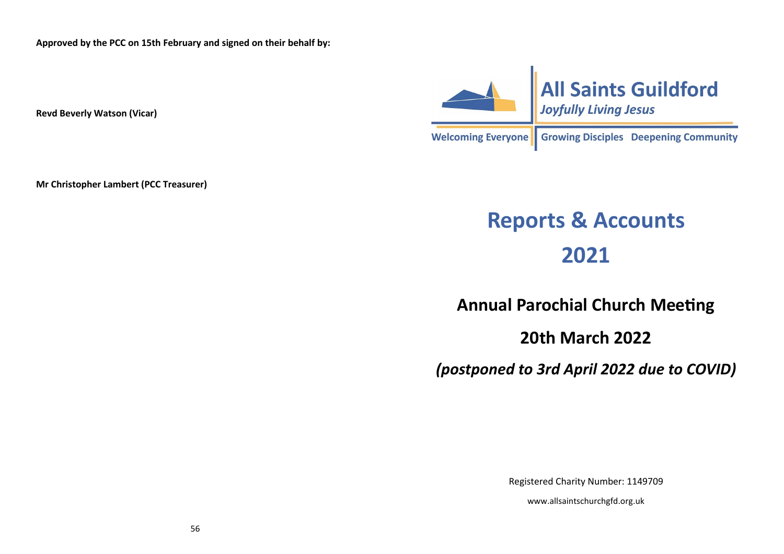**Approved by the PCC on 15th February and signed on their behalf by:**

**Revd Beverly Watson (Vicar)**

**Mr Christopher Lambert (PCC Treasurer)**



### **Reports & Accounts 2021**

**Annual Parochial Church Meeting**

**20th March 2022**

*(postponed to 3rd April 2022 due to COVID)*

Registered Charity Number: 1149709

www.allsaintschurchgfd.org.uk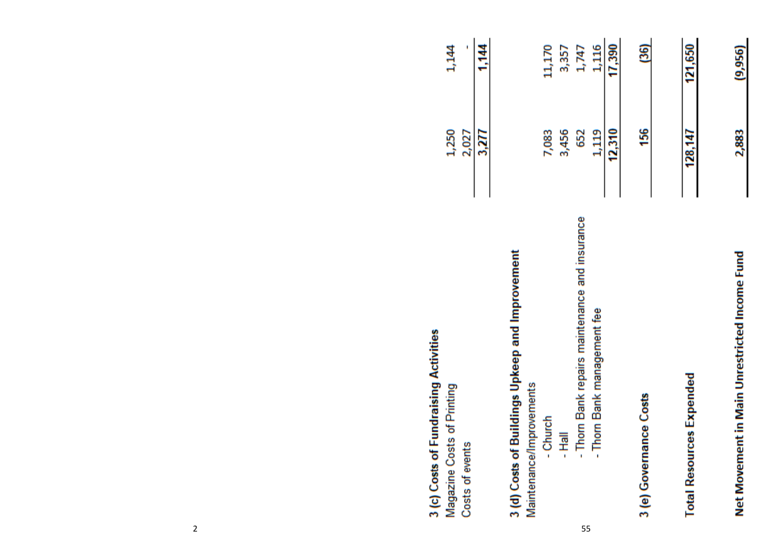| 3 (c) Costs of Fundraising Activities           |         |         |
|-------------------------------------------------|---------|---------|
| Magazine Costs of Printing                      | 1,250   | 1,144   |
| Costs of events                                 | 2,027   |         |
|                                                 | 3,277   | 1,144   |
| 3 (d) Costs of Buildings Upkeep and Improvement |         |         |
| Maintenance/Improvements                        |         |         |
| - Church                                        | 7,083   | 11,170  |
| $\frac{1}{16}$                                  | 3,456   | 3,357   |
| - Thom Bank repairs maintenance and insurance   | 652     | 1,747   |
| - Thorn Bank management fee                     | 1,119   | 1,116   |
|                                                 | 12,310  | 17,390  |
| 3 (e) Governance Costs                          | 156     | (36)    |
| <b>Total Resources Expended</b>                 | 128,147 | 121,650 |
| Net Movement in Main Unrestricted Income Fund   | 2,883   | (9,956) |

 $2 \times 55$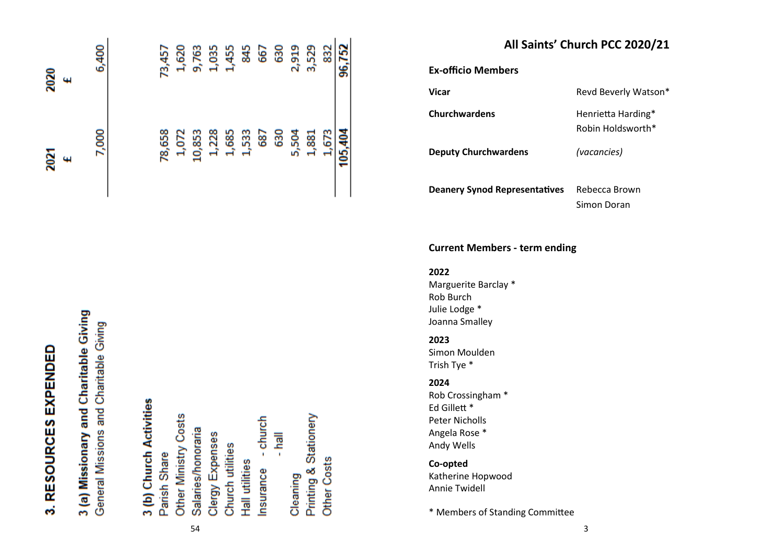| 3. RESOURCES EXPENDED                                                            | 2021<br>$\ddot{\phantom{1}}$ | 2020<br>4 |
|----------------------------------------------------------------------------------|------------------------------|-----------|
| 3 (a) Missionary and Charitable Giving<br>General Missions and Charitable Giving | 7,000                        | 6,400     |
| 3 (b) Church Activities                                                          |                              |           |
| Parish Share                                                                     | 78,658                       | 73,457    |
| Other Ministry Costs                                                             | 1,072                        | 1,620     |
| Salaries/honoraria                                                               | 10,853                       | 9,763     |
| Clergy Expenses                                                                  | 1,228                        | 1,035     |
| Church utilities                                                                 | 1,685                        | 1,455     |
| Hall utilities                                                                   | 1,533                        | 845       |
| Insurance - church                                                               | 687                          | 667       |
| $\overline{\mathbb{R}}$                                                          | 630                          | 630       |
| Cleaning                                                                         | 5,504                        | 2,919     |
| Printing & Stationery                                                            | 1,881                        | 3,529     |

| All Saints' Church PCC 2020/21 |  |  |  |  |
|--------------------------------|--|--|--|--|
|--------------------------------|--|--|--|--|

**Ex-officio Members**

**Vicar** Revd Beverly Watson\*

832 96,752

1,673

Other Costs

105,404

**Churchwardens** Henrietta Harding\* Robin Holdsworth\*

**Deputy Churchwardens** *(vacancies)*

**Deanery Synod Representatives** Rebecca Brown

Simon Doran

### **Current Members - term ending**

**2022** Marguerite Barclay \* Rob Burch Julie Lodge \* Joanna Smalley

### **2023**

Simon Moulden Trish Tye \*

### **2024**

Rob Crossingham \* Ed Gillett \* Peter Nicholls Angela Rose \* Andy Wells

**Co-opted** Katherine Hopwood Annie Twidell

\* Members of Standing Committee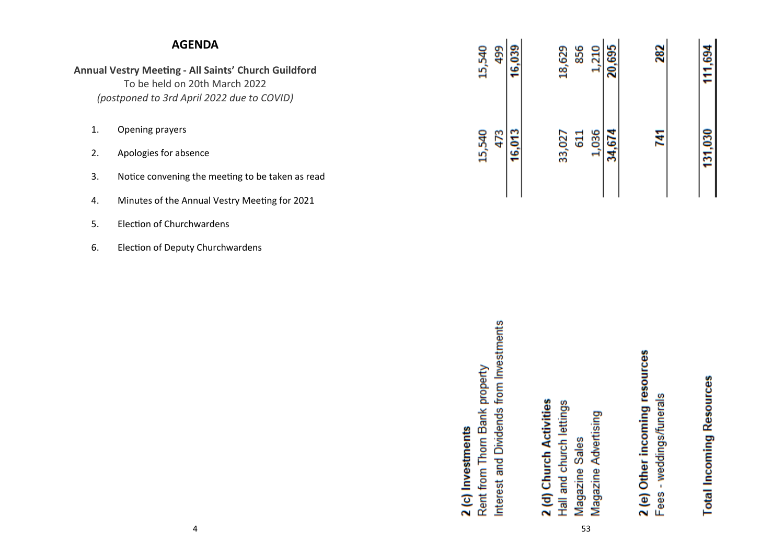|                      | <b>AGENDA</b>                                                                                                                                 |                                                    | 499                                           |        |                         |                          | 856            | 210                  |        |                                | 282                         |                                 |  |
|----------------------|-----------------------------------------------------------------------------------------------------------------------------------------------|----------------------------------------------------|-----------------------------------------------|--------|-------------------------|--------------------------|----------------|----------------------|--------|--------------------------------|-----------------------------|---------------------------------|--|
|                      | <b>Annual Vestry Meeting - All Saints' Church Guildford</b><br>To be held on 20th March 2022<br>(postponed to 3rd April 2022 due to COVID)    | 15,540                                             |                                               | 16,039 |                         | 18,629                   |                | $\rightarrow$        | 20,695 |                                |                             | 111,694                         |  |
| 1.<br>2.<br>3.<br>4. | Opening prayers<br>Apologies for absence<br>Notice convening the meeting to be taken as read<br>Minutes of the Annual Vestry Meeting for 2021 | 15,540                                             | 473                                           | 16,013 |                         | 33,027                   | 611            | 1,036                | 34,674 |                                | 741                         | 131,030                         |  |
| 5.                   | <b>Election of Churchwardens</b>                                                                                                              |                                                    |                                               |        |                         |                          |                |                      |        |                                |                             |                                 |  |
| 6.                   | <b>Election of Deputy Churchwardens</b>                                                                                                       |                                                    |                                               |        |                         |                          |                |                      |        |                                |                             |                                 |  |
|                      |                                                                                                                                               | Rent from Thorn Bank property<br>2 (c) Investments | from Investments<br>and Dividends<br>Interest |        | 2 (d) Church Activities | Hall and church lettings | Magazine Sales | Magazine Advertising |        | 2 (e) Other incoming resources | - weddings/funerals<br>Fees | <b>Total Incoming Resources</b> |  |

53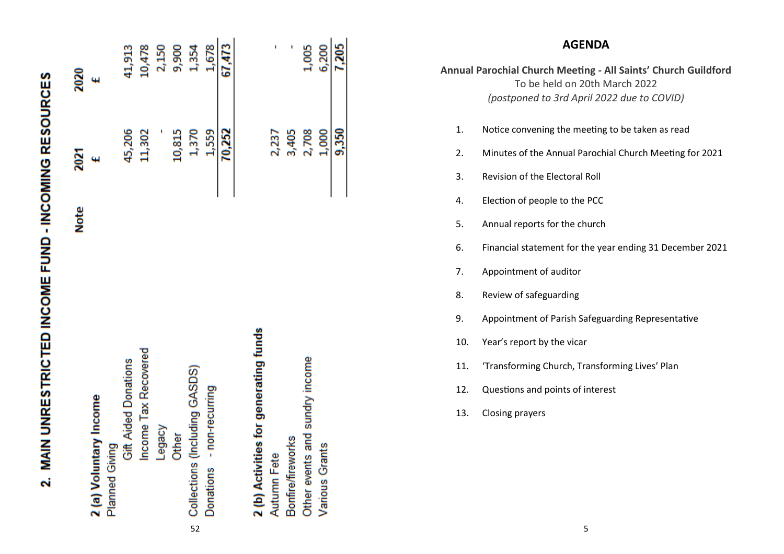|                               | <b>Note</b> | 2021   | 2020   |
|-------------------------------|-------------|--------|--------|
| 2 (a) Voluntary Income        |             |        |        |
| Planned Giving                |             |        |        |
| Gift Aided Donations          |             | 45,206 | 41,913 |
| Income Tax Recovered          |             | 11,302 | 10,478 |
| Legacy                        |             |        | 2,150  |
| Other                         |             | 10,815 | 9,900  |
| Collections (Including GASDS) |             | 1,370  | 1,354  |
| Donations - non-recurring     |             | 1,559  | 1,678  |
|                               |             | 70,252 | 67.473 |

MAIN UNRESTRICTED INCOME FUND - INCOMING RESOURCES

Ñ

# 2 (b) Activities for generating funds

sundry income Other events and Bonfire/fireworks Various Grants Autumn Fete

1,005 6,200 7,205

2,708

1,000 9,350

3,405

2,237

### **AGENDA**

**Annual Parochial Church Meeting - All Saints' Church Guildford** To be held on 20th March 2022 *(postponed to 3rd April 2022 due to COVID)*

- 1. Notice convening the meeting to be taken as read
- 2. Minutes of the Annual Parochial Church Meeting for 2021
- 3. Revision of the Electoral Roll
- 4. Election of people to the PCC
- 5. Annual reports for the church
- 6. Financial statement for the year ending 31 December 2021
- 7. Appointment of auditor
- 8. Review of safeguarding
- 9. Appointment of Parish Safeguarding Representative
- 10. Year's report by the vicar
- 11. 'Transforming Church, Transforming Lives' Plan
- 12. Questions and points of interest
- 13. Closing prayers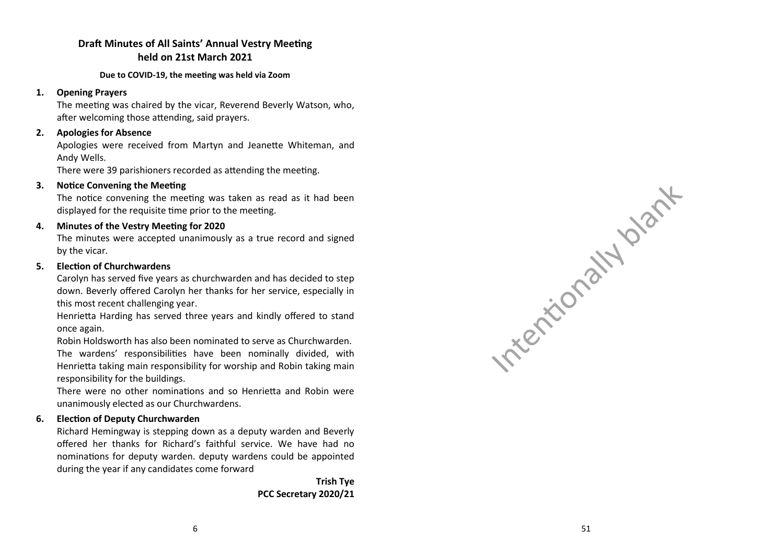### **Draft Minutes of All Saints' Annual Vestry Meeting held on 21st March 2021**

### **Due to COVID -19, the meeting was held via Zoom**

### **1. Opening Prayers**

The meeting was chaired by the vicar, Reverend Beverly Watson, who, after welcoming those attending, said prayers.

### **2. Apologies for Absence**

Apologies were received from Martyn and Jeanette Whiteman, and Andy Wells.

There were 39 parishioners recorded as attending the meeting.

### **3. Notice Convening the Meeting**

The notice convening the meeting was taken as read as it had been displayed for the requisite time prior to the meeting.

### **4. Minutes of the Vestry Meeting for 2020**

The minutes were accepted unanimously as a true record and signed by the vicar.

### **5. Election of Churchwardens**

Carolyn has served five years as churchwarden and has decided to step down. Beverly offered Carolyn her thanks for her service, especially in this most recent challenging year.

Henrietta Harding has served three years and kindly offered to stand once again.

Robin Holdsworth has also been nominated to serve as Churchwarden. The wardens' responsibilities have been nominally divided, with Henrietta taking main responsibility for worship and Robin taking main responsibility for the buildings.

There were no other nominations and so Henrietta and Robin were unanimously elected as our Churchwardens.

### **6. Election of Deputy Churchwarden**

Richard Hemingway is stepping down as a deputy warden and Beverly offered her thanks for Richard 's faithful service. We have had no nominations for deputy warden. deputy wardens could be appointed during the year if any candidates come forward

> **Trish Tye PCC Secretary 2020/21**

|          | $\mathcal{L}_{\zeta}$ |
|----------|-----------------------|
|          | 11.<br>$\delta$       |
| rention. |                       |
|          |                       |

 $\sim$  1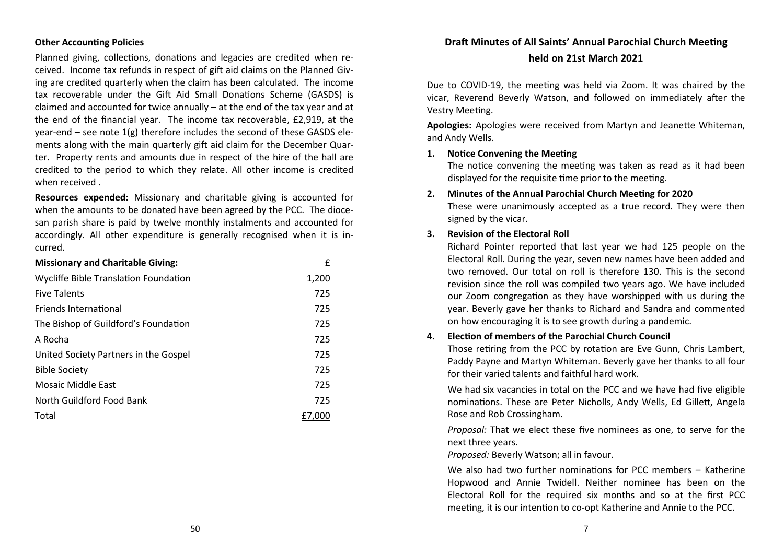### **Other Accounting Policies**

Planned giving, collections, donations and legacies are credited when received. Income tax refunds in respect of gift aid claims on the Planned Giving are credited quarterly when the claim has been calculated. The income tax recoverable under the Gift Aid Small Donations Scheme (GASDS) is claimed and accounted for twice annually – at the end of the tax year and at the end of the financial year. The income tax recoverable, £2,919, at the year-end – see note 1(g) therefore includes the second of these GASDS elements along with the main quarterly gift aid claim for the December Quarter. Property rents and amounts due in respect of the hire of the hall are credited to the period to which they relate. All other income is credited when received .

**Resources expended:** Missionary and charitable giving is accounted for when the amounts to be donated have been agreed by the PCC. The diocesan parish share is paid by twelve monthly instalments and accounted for accordingly. All other expenditure is generally recognised when it is incurred.

| <b>Missionary and Charitable Giving:</b> | £      |
|------------------------------------------|--------|
| Wycliffe Bible Translation Foundation    | 1,200  |
| <b>Five Talents</b>                      | 725    |
| <b>Friends International</b>             | 725    |
| The Bishop of Guildford's Foundation     | 725    |
| A Rocha                                  | 725    |
| United Society Partners in the Gospel    | 725    |
| <b>Bible Society</b>                     | 725    |
| Mosaic Middle East                       | 725    |
| North Guildford Food Bank                | 725    |
| Total                                    | £7.000 |

### **Draft Minutes of All Saints' Annual Parochial Church Meeting held on 21st March 2021**

Due to COVID-19, the meeting was held via Zoom. It was chaired by the vicar, Reverend Beverly Watson, and followed on immediately after the Vestry Meeting.

**Apologies:** Apologies were received from Martyn and Jeanette Whiteman, and Andy Wells.

### **1. Notice Convening the Meeting**

The notice convening the meeting was taken as read as it had been displayed for the requisite time prior to the meeting.

### **2. Minutes of the Annual Parochial Church Meeting for 2020**

These were unanimously accepted as a true record. They were then signed by the vicar.

### **3. Revision of the Electoral Roll**

Richard Pointer reported that last year we had 125 people on the Electoral Roll. During the year, seven new names have been added and two removed. Our total on roll is therefore 130. This is the second revision since the roll was compiled two years ago. We have included our Zoom congregation as they have worshipped with us during the year. Beverly gave her thanks to Richard and Sandra and commented on how encouraging it is to see growth during a pandemic.

### **4. Election of members of the Parochial Church Council**

Those retiring from the PCC by rotation are Eve Gunn, Chris Lambert, Paddy Payne and Martyn Whiteman. Beverly gave her thanks to all four for their varied talents and faithful hard work.

We had six vacancies in total on the PCC and we have had five eligible nominations. These are Peter Nicholls, Andy Wells, Ed Gillett, Angela Rose and Rob Crossingham.

*Proposal:* That we elect these five nominees as one, to serve for the next three years.

*Proposed:* Beverly Watson; all in favour.

We also had two further nominations for PCC members – Katherine Hopwood and Annie Twidell. Neither nominee has been on the Electoral Roll for the required six months and so at the first PCC meeting, it is our intention to co-opt Katherine and Annie to the PCC.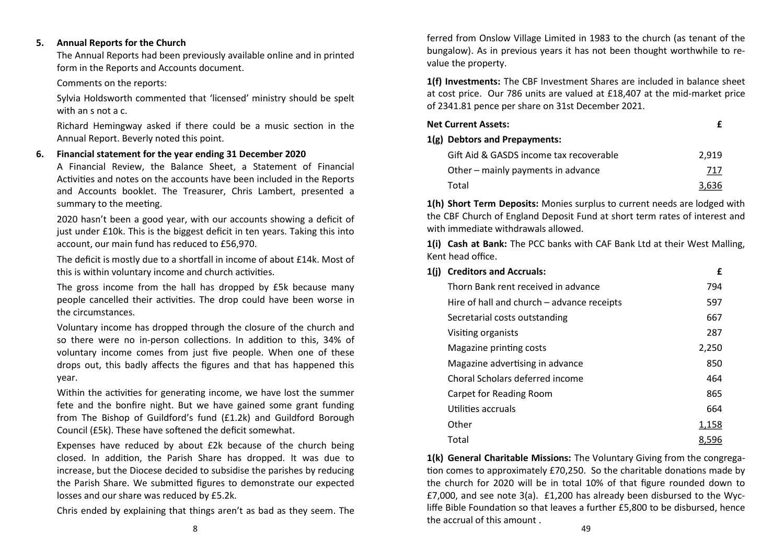### **5. Annual Reports for the Church**

The Annual Reports had been previously available online and in printed form in the Reports and Accounts document.

Comments on the reports:

Sylvia Holdsworth commented that 'licensed' ministry should be spelt with an s not a c.

Richard Hemingway asked if there could be a music section in the Annual Report. Beverly noted this point.

### **6. Financial statement for the year ending 31 December 2020**

A Financial Review, the Balance Sheet, a Statement of Financial Activities and notes on the accounts have been included in the Reports and Accounts booklet. The Treasurer, Chris Lambert, presented a summary to the meeting.

2020 hasn't been a good year, with our accounts showing a deficit of just under £10k. This is the biggest deficit in ten years. Taking this into account, our main fund has reduced to £56,970.

The deficit is mostly due to a shortfall in income of about £14k. Most of this is within voluntary income and church activities.

The gross income from the hall has dropped by £5k because many people cancelled their activities. The drop could have been worse in the circumstances.

Voluntary income has dropped through the closure of the church and so there were no in-person collections. In addition to this, 34% of voluntary income comes from just five people. When one of these drops out, this badly affects the figures and that has happened this year.

Within the activities for generating income, we have lost the summer fete and the bonfire night. But we have gained some grant funding from The Bishop of Guildford's fund (£1.2k) and Guildford Borough Council (£5k). These have softened the deficit somewhat.

Expenses have reduced by about £2k because of the church being closed. In addition, the Parish Share has dropped. It was due to increase, but the Diocese decided to subsidise the parishes by reducing the Parish Share. We submitted figures to demonstrate our expected losses and our share was reduced by £5.2k.

Chris ended by explaining that things aren't as bad as they seem. The

ferred from Onslow Village Limited in 1983 to the church (as tenant of the bungalow). As in previous years it has not been thought worthwhile to revalue the property.

**1(f) Investments:** The CBF Investment Shares are included in balance sheet at cost price. Our 786 units are valued at £18,407 at the mid-market price of 2341.81 pence per share on 31st December 2021.

| Net Current Assets:                     |       |
|-----------------------------------------|-------|
| 1(g) Debtors and Prepayments:           |       |
| Gift Aid & GASDS income tax recoverable | 2.919 |
| Other – mainly payments in advance      | 717   |
| Total                                   | 3.636 |

**1(h) Short Term Deposits:** Monies surplus to current needs are lodged with the CBF Church of England Deposit Fund at short term rates of interest and with immediate withdrawals allowed.

**1(i) Cash at Bank:** The PCC banks with CAF Bank Ltd at their West Malling, Kent head office.

| 1(i) | <b>Creditors and Accruals:</b>             | £     |
|------|--------------------------------------------|-------|
|      | Thorn Bank rent received in advance        | 794   |
|      | Hire of hall and church - advance receipts | 597   |
|      | Secretarial costs outstanding              | 667   |
|      | Visiting organists                         | 287   |
|      | Magazine printing costs                    | 2,250 |
|      | Magazine advertising in advance            | 850   |
|      | Choral Scholars deferred income            | 464   |
|      | Carpet for Reading Room                    | 865   |
|      | Utilities accruals                         | 664   |
|      | Other                                      | 1,158 |
|      | Total                                      | 8,596 |

**1(k) General Charitable Missions:** The Voluntary Giving from the congregation comes to approximately £70,250. So the charitable donations made by the church for 2020 will be in total 10% of that figure rounded down to £7,000, and see note 3(a). £1,200 has already been disbursed to the Wycliffe Bible Foundation so that leaves a further £5,800 to be disbursed, hence the accrual of this amount .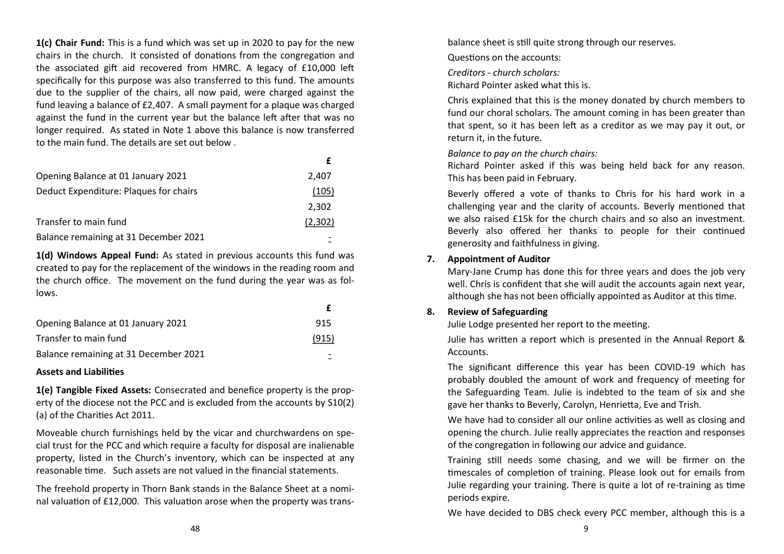**1(c) Chair Fund:** This is a fund which was set up in 2020 to pay for the new chairs in the church. It consisted of donations from the congregation and the associated gift aid recovered from HMRC. A legacy of £10,000 left specifically for this purpose was also transferred to this fund. The amounts due to the supplier of the chairs, all now paid, were charged against the fund leaving a balance of £2,407. A small payment for a plaque was charged against the fund in the current year but the balance left after that was no longer required. As stated in Note 1 above this balance is now transferred to the main fund. The details are set out below .

| Opening Balance at 01 January 2021     | 2,407   |
|----------------------------------------|---------|
| Deduct Expenditure: Plaques for chairs | (105)   |
|                                        | 2,302   |
| Transfer to main fund                  | (2,302) |
| Balance remaining at 31 December 2021  |         |

**1(d) Windows Appeal Fund:** As stated in previous accounts this fund was created to pay for the replacement of the windows in the reading room and the church office. The movement on the fund during the year was as follows.

| Opening Balance at 01 January 2021    | 915   |
|---------------------------------------|-------|
| Transfer to main fund                 | (915) |
| Balance remaining at 31 December 2021 |       |

### **Assets and Liabilities**

**1(e) Tangible Fixed Assets:** Consecrated and benefice property is the property of the diocese not the PCC and is excluded from the accounts by S10(2) (a) of the Charities Act 2011.

Moveable church furnishings held by the vicar and churchwardens on special trust for the PCC and which require a faculty for disposal are inalienable property, listed in the Church's inventory, which can be inspected at any reasonable time. Such assets are not valued in the financial statements.

The freehold property in Thorn Bank stands in the Balance Sheet at a nominal valuation of £12,000. This valuation arose when the property was transbalance sheet is still quite strong through our reserves.

Questions on the accounts:

*Creditors - church scholars:*

Richard Pointer asked what this is.

Chris explained that this is the money donated by church members to fund our choral scholars. The amount coming in has been greater than that spent, so it has been left as a creditor as we may pay it out, or return it, in the future.

### *Balance to pay on the church chairs:*

Richard Pointer asked if this was being held back for any reason. This has been paid in February.

Beverly offered a vote of thanks to Chris for his hard work in a challenging year and the clarity of accounts. Beverly mentioned that we also raised £15k for the church chairs and so also an investment. Beverly also offered her thanks to people for their continued generosity and faithfulness in giving.

### **7. Appointment of Auditor**

Mary-Jane Crump has done this for three years and does the job very well. Chris is confident that she will audit the accounts again next year, although she has not been officially appointed as Auditor at this time.

### **8. Review of Safeguarding**

Julie Lodge presented her report to the meeting.

Julie has written a report which is presented in the Annual Report & **Accounts** 

The significant difference this year has been COVID-19 which has probably doubled the amount of work and frequency of meeting for the Safeguarding Team. Julie is indebted to the team of six and she gave her thanks to Beverly, Carolyn, Henrietta, Eve and Trish.

We have had to consider all our online activities as well as closing and opening the church. Julie really appreciates the reaction and responses of the congregation in following our advice and guidance.

Training still needs some chasing, and we will be firmer on the timescales of completion of training. Please look out for emails from Julie regarding your training. There is quite a lot of re-training as time periods expire.

We have decided to DBS check every PCC member, although this is a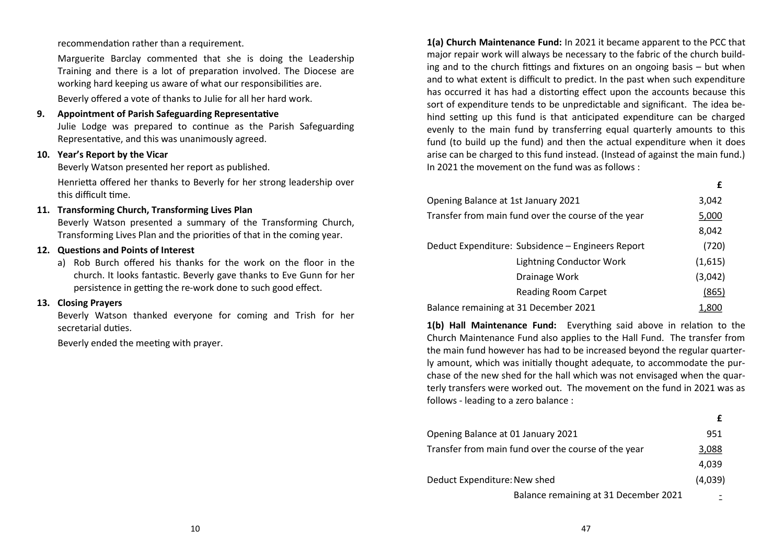recommendation rather than a requirement.

Marguerite Barclay commented that she is doing the Leadership Training and there is a lot of preparation involved. The Diocese are working hard keeping us aware of what our responsibilities are. Beverly offered a vote of thanks to Julie for all her hard work.

**9. Appointment of Parish Safeguarding Representative** Julie Lodge was prepared to continue as the Parish Safeguarding

Representative, and this was unanimously agreed.

### **10. Year's Report by the Vicar**

Beverly Watson presented her report as published.

Henrietta offered her thanks to Beverly for her strong leadership over this difficult time.

### **11. Transforming Church, Transforming Lives Plan**

Beverly Watson presented a summary of the Transforming Church, Transforming Lives Plan and the priorities of that in the coming year.

### **12. Questions and Points of Interest**

a) Rob Burch offered his thanks for the work on the floor in the church. It looks fantastic. Beverly gave thanks to Eve Gunn for her persistence in getting the re-work done to such good effect.

### **13. Closing Prayers**

Beverly Watson thanked everyone for coming and Trish for her secretarial duties.

Beverly ended the meeting with prayer.

**1(a) Church Maintenance Fund:** In 2021 it became apparent to the PCC that major repair work will always be necessary to the fabric of the church building and to the church fittings and fixtures on an ongoing basis – but when and to what extent is difficult to predict. In the past when such expenditure has occurred it has had a distorting effect upon the accounts because this sort of expenditure tends to be unpredictable and significant. The idea behind setting up this fund is that anticipated expenditure can be charged evenly to the main fund by transferring equal quarterly amounts to this fund (to build up the fund) and then the actual expenditure when it does arise can be charged to this fund instead. (Instead of against the main fund.) In 2021 the movement on the fund was as follows :

**£**

| Opening Balance at 1st January 2021                 | 3,042   |
|-----------------------------------------------------|---------|
| Transfer from main fund over the course of the year | 5,000   |
|                                                     | 8,042   |
| Deduct Expenditure: Subsidence - Engineers Report   | (720)   |
| <b>Lightning Conductor Work</b>                     | (1,615) |
| Drainage Work                                       | (3,042) |
| Reading Room Carpet                                 | (865)   |
| Balance remaining at 31 December 2021               | 1,800   |

**1(b) Hall Maintenance Fund:** Everything said above in relation to the Church Maintenance Fund also applies to the Hall Fund. The transfer from the main fund however has had to be increased beyond the regular quarterly amount, which was initially thought adequate, to accommodate the purchase of the new shed for the hall which was not envisaged when the quarterly transfers were worked out. The movement on the fund in 2021 was as follows - leading to a zero balance :

| Opening Balance at 01 January 2021                  | 951     |
|-----------------------------------------------------|---------|
| Transfer from main fund over the course of the year | 3,088   |
|                                                     | 4,039   |
| Deduct Expenditure: New shed                        | (4,039) |
| Balance remaining at 31 December 2021               |         |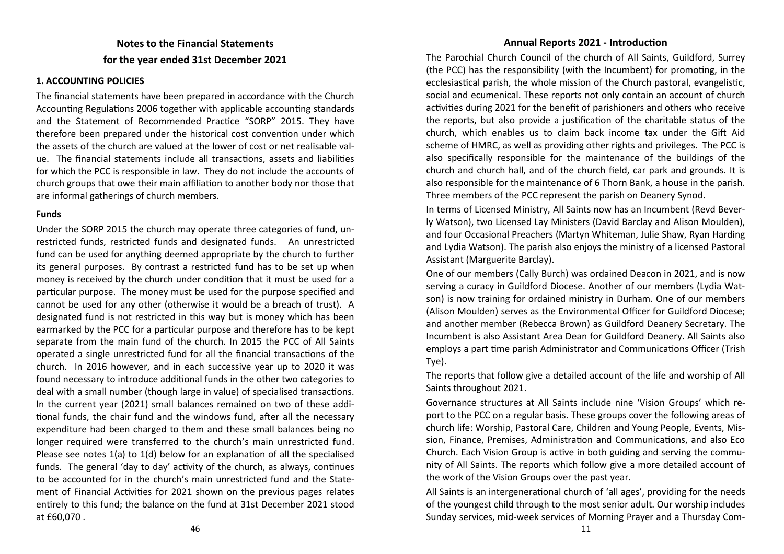### **Notes to the Financial Statements for the year ended 31st December 2021**

### **1. ACCOUNTING POLICIES**

The financial statements have been prepared in accordance with the Church Accounting Regulations 2006 together with applicable accounting standards and the Statement of Recommended Practice "SORP" 2015. They have therefore been prepared under the historical cost convention under which the assets of the church are valued at the lower of cost or net realisable value. The financial statements include all transactions, assets and liabilities for which the PCC is responsible in law. They do not include the accounts of church groups that owe their main affiliation to another body nor those that are informal gatherings of church members.

### **Funds**

Under the SORP 2015 the church may operate three categories of fund, unrestricted funds, restricted funds and designated funds. An unrestricted fund can be used for anything deemed appropriate by the church to further its general purposes. By contrast a restricted fund has to be set up when money is received by the church under condition that it must be used for a particular purpose. The money must be used for the purpose specified and cannot be used for any other (otherwise it would be a breach of trust). A designated fund is not restricted in this way but is money which has been earmarked by the PCC for a particular purpose and therefore has to be kept separate from the main fund of the church. In 2015 the PCC of All Saints operated a single unrestricted fund for all the financial transactions of the church. In 2016 however, and in each successive year up to 2020 it was found necessary to introduce additional funds in the other two categories to deal with a small number (though large in value) of specialised transactions. In the current year (2021) small balances remained on two of these additional funds, the chair fund and the windows fund, after all the necessary expenditure had been charged to them and these small balances being no longer required were transferred to the church's main unrestricted fund. Please see notes 1(a) to 1(d) below for an explanation of all the specialised funds. The general 'day to day' activity of the church, as always, continues to be accounted for in the church's main unrestricted fund and the Statement of Financial Activities for 2021 shown on the previous pages relates entirely to this fund; the balance on the fund at 31st December 2021 stood at £60,070 .

### **Annual Reports 2021 - Introduction**

The Parochial Church Council of the church of All Saints, Guildford, Surrey (the PCC) has the responsibility (with the Incumbent) for promoting, in the ecclesiastical parish, the whole mission of the Church pastoral, evangelistic, social and ecumenical. These reports not only contain an account of church activities during 2021 for the benefit of parishioners and others who receive the reports, but also provide a justification of the charitable status of the church, which enables us to claim back income tax under the Gift Aid scheme of HMRC, as well as providing other rights and privileges. The PCC is also specifically responsible for the maintenance of the buildings of the church and church hall, and of the church field, car park and grounds. It is also responsible for the maintenance of 6 Thorn Bank, a house in the parish. Three members of the PCC represent the parish on Deanery Synod.

In terms of Licensed Ministry, All Saints now has an Incumbent (Revd Beverly Watson), two Licensed Lay Ministers (David Barclay and Alison Moulden), and four Occasional Preachers (Martyn Whiteman, Julie Shaw, Ryan Harding and Lydia Watson). The parish also enjoys the ministry of a licensed Pastoral Assistant (Marguerite Barclay).

One of our members (Cally Burch) was ordained Deacon in 2021, and is now serving a curacy in Guildford Diocese. Another of our members (Lydia Watson) is now training for ordained ministry in Durham. One of our members (Alison Moulden) serves as the Environmental Officer for Guildford Diocese; and another member (Rebecca Brown) as Guildford Deanery Secretary. The Incumbent is also Assistant Area Dean for Guildford Deanery. All Saints also employs a part time parish Administrator and Communications Officer (Trish Tye).

The reports that follow give a detailed account of the life and worship of All Saints throughout 2021.

Governance structures at All Saints include nine 'Vision Groups' which report to the PCC on a regular basis. These groups cover the following areas of church life: Worship, Pastoral Care, Children and Young People, Events, Mission, Finance, Premises, Administration and Communications, and also Eco Church. Each Vision Group is active in both guiding and serving the community of All Saints. The reports which follow give a more detailed account of the work of the Vision Groups over the past year.

All Saints is an intergenerational church of 'all ages', providing for the needs of the youngest child through to the most senior adult. Our worship includes Sunday services, mid-week services of Morning Prayer and a Thursday Com-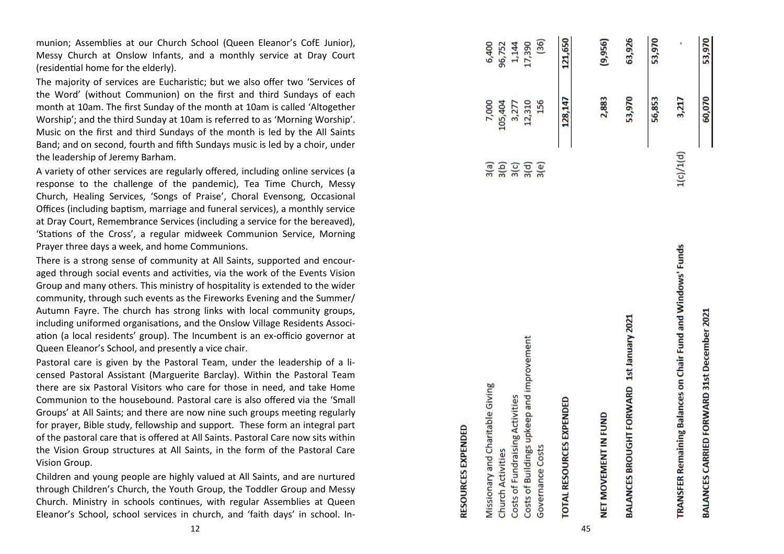munion; Assemblies at our Church School (Queen Eleanor 's CofE Junior), Messy Church at Onslow Infants, and a monthly service at Dray Court (residential home for the elderly).

The majority of services are Eucharistic; but we also offer two 'Services of the Word' (without Communion) on the first and third Sundays of each month at 10am. The first Sunday of the month at 10am is called 'Altogether Worship'; and the third Sunday at 10am is referred to as 'Morning Worship'. Music on the first and third Sundays of the month is led by the All Saints Band; and on second, fourth and fifth Sundays music is led by a choir, under the leadership of Jeremy Barham.

A variety of other services are regularly offered, including online services (a response to the challenge of the pandemic), Tea Time Church, Messy Church, Healing Services, 'Songs of Praise', Choral Evensong, Occasional Offices (including baptism, marriage and funeral services), a monthly service at Dray Court, Remembrance Services (including a service for the bereaved), 'Stations of the Cross', a regular midweek Communion Service, Morning Prayer three days a week, and home Communions.

There is a strong sense of community at All Saints, supported and encouraged through social events and activities, via the work of the Events Vision Group and many others. This ministry of hospitality is extended to the wider community, through such events as the Fireworks Evening and the Summer/ Autumn Fayre. The church has strong links with local community groups, including uniformed organisations, and the Onslow Village Residents Associ ation (a local residents' group). The Incumbent is an ex-officio governor at Queen Eleanor 's School, and presently a vice chair.

Pastoral care is given by the Pastoral Team, under the leadership of a licensed Pastoral Assistant (Marguerite Barclay). Within the Pastoral Team there are six Pastoral Visitors who care for those in need, and take Home Communion to the housebound. Pastoral care is also offered via the 'Small Groups' at All Saints; and there are now nine such groups meeting regularly for prayer, Bible study, fellowship and support. These form an integral part of the pastoral care that is offered at All Saints. Pastoral Care now sits within the Vision Group structures at All Saints, in the form of the Pastoral Care Vision Group.

Children and young people are highly valued at All Saints, and are nurtured through Children 's Church, the Youth Group, the Toddler Group and Messy Church. Ministry in schools continues, with regular Assemblies at Queen Eleanor 's School, school services in church, and 'faith days' in school. In-

| <b>RESOURCES EXPENDED</b>                                    |                      |         |         |
|--------------------------------------------------------------|----------------------|---------|---------|
| Missionary and Charitable Giving                             | 3(a)                 | 7,000   | 6,400   |
| <b>Church Activities</b>                                     |                      | 105,404 | 96,752  |
| Costs of Fundraising Activities                              | 36<br>36<br>36<br>36 | 3,277   | 1,144   |
| Costs of Buildings upkeep and improvement                    |                      | 12,310  | 17,390  |
| Governance Costs                                             |                      | 156     | (36)    |
| <b>TOTAL RESOURCES EXPENDED</b>                              |                      | 128,147 | 121,650 |
| 45                                                           |                      |         |         |
| NET MOVEMENT IN FUND                                         |                      | 2,883   | (9,956) |
| BALANCES BROUGHT FORWARD 1st January 2021                    |                      | 53,970  | 63,926  |
|                                                              |                      | 56,853  | 53,970  |
| TRANSFER Remaining Balances on Chair Fund and Windows' Funds | 1(c)/1(d)            | 3,217   |         |
| BALANCES CARRIED FORWARD 31st December 2021                  |                      | 60,070  | 53,970  |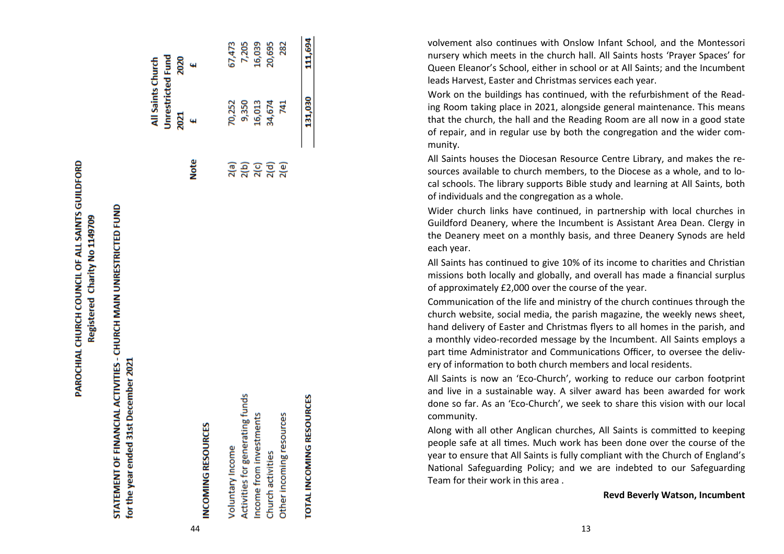PAROCHIAL CHURCH COUNCIL OF ALL SAINTS GUILDFORD Registered Charity No 1149709

## STATEMENT OF FINANCIAL ACTIVITIES - CHURCH MAIN UNRESTRICTED FUND for the year ended 31st December 2021

|                                 |                       | All Saints Church        |                      |
|---------------------------------|-----------------------|--------------------------|----------------------|
|                                 |                       | <b>Unrestricted Fund</b> |                      |
|                                 |                       | 2021                     | 2020                 |
|                                 | <b>Note</b>           |                          | $\ddot{\phantom{1}}$ |
| <b>INCOMING RESOURCES</b>       |                       |                          |                      |
| Voluntary Income                |                       | 70,252                   | 2                    |
| Activities for generating funds | <b>a</b><br>ភូមិ ភូមិ | 9,350                    | 7,                   |
| Income from investments         |                       | 16,013                   | 9,                   |
| Church activities               |                       | 34,674                   | 20,                  |
| Other incoming resources        | 2(e)                  | 741                      |                      |

### TOTAL INCOMING RESOURCES

111,694

131,030

7,205 .6,039 10,695 282

i7,473

뎥  $\mathbf{R}$  ... volvement also continues with Onslow Infant School, and the Montessori nursery which meets in the church hall. All Saints hosts 'Prayer Spaces' for Queen Eleanor 's School, either in school or at All Saints; and the Incumbent leads Harvest, Easter and Christmas services each year.

Work on the buildings has continued, with the refurbishment of the Reading Room taking place in 2021, alongside general maintenance. This means that the church, the hall and the Reading Room are all now in a good state of repair, and in regular use by both the congregation and the wider community.

All Saints houses the Diocesan Resource Centre Library, and makes the resources available to church members, to the Diocese as a whole, and to local schools. The library supports Bible study and learning at All Saints, both of individuals and the congregation as a whole.

Wider church links have continued, in partnership with local churches in Guildford Deanery, where the Incumbent is Assistant Area Dean. Clergy in the Deanery meet on a monthly basis, and three Deanery Synods are held each year.

All Saints has continued to give 10% of its income to charities and Christian missions both locally and globally, and overall has made a financial surplus of approximately £2,000 over the course of the year.

Communication of the life and ministry of the church continues through the church website, social media, the parish magazine, the weekly news sheet, hand delivery of Easter and Christmas flyers to all homes in the parish, and a monthly video -recorded message by the Incumbent. All Saints employs a part time Administrator and Communications Officer, to oversee the delivery of information to both church members and local residents.

All Saints is now an 'Eco -Church', working to reduce our carbon footprint and live in a sustainable way. A silver award has been awarded for work done so far. As an 'Eco -Church', we seek to share this vision with our local community.

Along with all other Anglican churches, All Saints is committed to keeping people safe at all times. Much work has been done over the course of the year to ensure that All Saints is fully compliant with the Church of England 's National Safeguarding Policy; and we are indebted to our Safeguarding Team for their work in this area .

### **Revd Beverly Watson, Incumbent**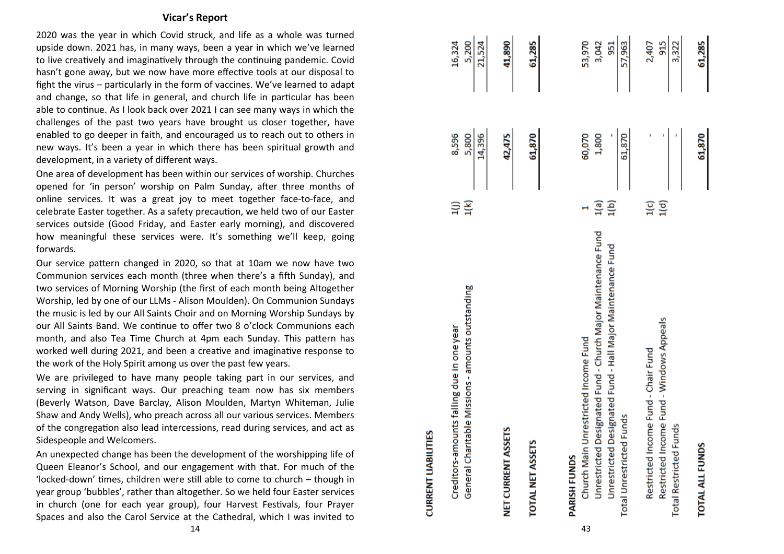### **Vicar 's Report**

2020 was the year in which Covid struck, and life as a whole was turned upside down. 2021 has, in many ways, been a year in which we 've learned to live creatively and imaginatively through the continuing pandemic. Covid hasn 't gone away, but we now have more effective tools at our disposal to fight the virus – particularly in the form of vaccines. We 've learned to adapt and change, so that life in general, and church life in particular has been able to continue. As I look back over 2021 I can see many ways in which the challenges of the past two years have brought us closer together, have enabled to go deeper in faith, and encouraged us to reach out to others in new ways. It 's been a year in which there has been spiritual growth and development, in a variety of different ways.

One area of development has been within our services of worship. Churches opened for 'in person' worship on Palm Sunday, after three months of online services. It was a great joy to meet together face -to -face, and celebrate Easter together. As a safety precaution, we held two of our Easter services outside (Good Friday, and Easter early morning), and discovered how meaningful these services were. It 's something we 'll keep, going forwards.

Our service pattern changed in 2020, so that at 10am we now have two Communion services each month (three when there 's a fifth Sunday), and two services of Morning Worship (the first of each month being Altogether Worship, led by one of our LLMs - Alison Moulden). On Communion Sundays the music is led by our All Saints Choir and on Morning Worship Sundays by our All Saints Band. We continue to offer two 8 o 'clock Communions each month, and also Tea Time Church at 4pm each Sunday. This pattern has worked well during 2021, and been a creative and imaginative response to the work of the Holy Spirit among us over the past few years.

We are privileged to have many people taking part in our services, and serving in significant ways. Our preaching team now has six members (Beverly Watson, Dave Barclay, Alison Moulden, Martyn Whiteman, Julie Shaw and Andy Wells), who preach across all our various services. Members of the congregation also lead intercessions, read during services, and act as Sidespeople and Welcomers.

An unexpected change has been the development of the worshipping life of Queen Eleanor 's School, and our engagement with that. For much of the 'locked -down' times, children were still able to come to church – though in year group 'bubbles', rather than altogether. So we held four Easter services in church (one for each year group), four Harvest Festivals, four Prayer Spaces and also the Carol Service at the Cathedral, which I was invited to

| General Charitable Missions - amounts outstanding<br>Creditors-amounts falling due in one year                                                                                            | 1(k)<br>Ξ    | 14,396<br>8,596<br>5,800 | 21,524<br>16,324<br>5,200       |
|-------------------------------------------------------------------------------------------------------------------------------------------------------------------------------------------|--------------|--------------------------|---------------------------------|
| NET CURRENT ASSETS                                                                                                                                                                        |              | 42,475                   | 41,890                          |
| TOTAL NET ASSETS                                                                                                                                                                          |              | 61,870                   | 61,285                          |
| Unrestricted Designated Fund - Church Major Maintenance Fund<br>Unrestricted Designated Fund - Hall Major Maintenance Fund<br>Church Main Unrestricted Income Fund<br><b>PARISH FUNDS</b> | 1(b)<br>1(a) | 60,070<br>1,800          | 53,970<br>3,042<br>951          |
| Restricted Income Fund - Windows Appeals<br>Restricted Income Fund - Chair Fund<br><b>Total Unrestricted Funds</b><br><b>Total Restricted Funds</b>                                       | ្យ<br>រុថ្ម  | 61,870                   | 3,322<br>57,963<br>915<br>2,407 |
| <b>TOTAL ALL FUNDS</b>                                                                                                                                                                    |              | 61,870                   | 61,285                          |

43

**CURRENT LIABILITIES**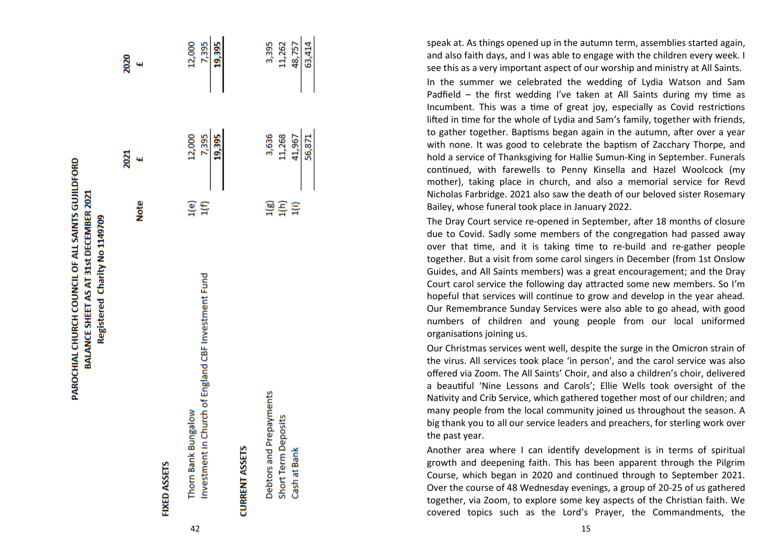| Registered Charity No 1149709                                              |                   |                           |                           |
|----------------------------------------------------------------------------|-------------------|---------------------------|---------------------------|
|                                                                            | <b>Note</b>       | 2021<br>44                | 2020<br>4                 |
| <b>FIXED ASSETS</b>                                                        |                   |                           |                           |
| Investment in Church of England CBF Investment Fund<br>Thorn Bank Bungalow | $\frac{1}{1}$ (f) | 7,395<br>19,395<br>12,000 | 12,000<br>7,395<br>19,395 |
| <b>CURRENT ASSETS</b>                                                      |                   |                           |                           |
| Debtors and Prepayments<br>Short Term Deposits                             | 1(g)<br>1(h)      | 3,636<br>11,268           | 3,395<br>11,262           |

PAROCHIAL CHURCH COUNCIL OF ALL SAINTS GUJILDFORD BALANCE SHEET AS AT 31st DECEMBER 2021

63,414 48,757

56,871 41,967

 $\Xi$ 

Cash at Bank

speak at. As things opened up in the autumn term, assemblies started again, and also faith days, and I was able to engage with the children every week. I see this as a very important aspect of our worship and ministry at All Saints. In the summer we celebrated the wedding of Lydia Watson and Sam Padfield – the first wedding I've taken at All Saints during my time as Incumbent. This was a time of great joy, especially as Covid restrictions lifted in time for the whole of Lydia and Sam 's family, together with friends, to gather together. Baptisms began again in the autumn, after over a year with none. It was good to celebrate the baptism of Zacchary Thorpe, and hold a service of Thanksgiving for Hallie Sumun -King in September. Funerals continued, with farewells to Penny Kinsella and Hazel Woolcock (my mother), taking place in church, and also a memorial service for Revd Nicholas Farbridge. 2021 also saw the death of our beloved sister Rosemary Bailey, whose funeral took place in January 2022.

The Dray Court service re -opened in September, after 18 months of closure due to Covid. Sadly some members of the congregation had passed away over that time, and it is taking time to re -build and re -gather people together. But a visit from some carol singers in December (from 1st Onslow Guides, and All Saints members) was a great encouragement; and the Dray Court carol service the following day attracted some new members. So I 'm hopeful that services will continue to grow and develop in the year ahead. Our Remembrance Sunday Services were also able to go ahead, with good numbers of children and young people from our local uniformed organisations joining us.

Our Christmas services went well, despite the surge in the Omicron strain of the virus. All services took place 'in person', and the carol service was also offered via Zoom. The All Saints' Choir, and also a children 's choir, delivered a beautiful 'Nine Lessons and Carols'; Ellie Wells took oversight of the Nativity and Crib Service, which gathered together most of our children; and many people from the local community joined us throughout the season. A big thank you to all our service leaders and preachers, for sterling work over the past year.

Another area where I can identify development is in terms of spiritual growth and deepening faith. This has been apparent through the Pilgrim Course, which began in 2020 and continued through to September 2021. Over the course of 48 Wednesday evenings, a group of 20 -25 of us gathered together, via Zoom, to explore some key aspects of the Christian faith. We covered topics such as the Lord 's Prayer, the Commandments, the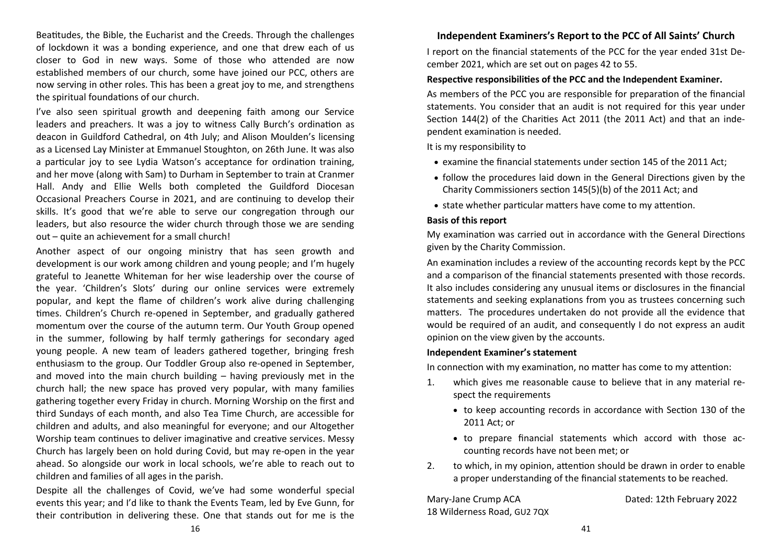Beatitudes, the Bible, the Eucharist and the Creeds. Through the challenges of lockdown it was a bonding experience, and one that drew each of us closer to God in new ways. Some of those who attended are now established members of our church, some have joined our PCC, others are now serving in other roles. This has been a great joy to me, and strengthens the spiritual foundations of our church.

I've also seen spiritual growth and deepening faith among our Service leaders and preachers. It was a joy to witness Cally Burch's ordination as deacon in Guildford Cathedral, on 4th July; and Alison Moulden's licensing as a Licensed Lay Minister at Emmanuel Stoughton, on 26th June. It was also a particular joy to see Lydia Watson's acceptance for ordination training, and her move (along with Sam) to Durham in September to train at Cranmer Hall. Andy and Ellie Wells both completed the Guildford Diocesan Occasional Preachers Course in 2021, and are continuing to develop their skills. It's good that we're able to serve our congregation through our leaders, but also resource the wider church through those we are sending out – quite an achievement for a small church!

Another aspect of our ongoing ministry that has seen growth and development is our work among children and young people; and I'm hugely grateful to Jeanette Whiteman for her wise leadership over the course of the year. 'Children's Slots' during our online services were extremely popular, and kept the flame of children's work alive during challenging times. Children's Church re-opened in September, and gradually gathered momentum over the course of the autumn term. Our Youth Group opened in the summer, following by half termly gatherings for secondary aged young people. A new team of leaders gathered together, bringing fresh enthusiasm to the group. Our Toddler Group also re-opened in September, and moved into the main church building – having previously met in the church hall; the new space has proved very popular, with many families gathering together every Friday in church. Morning Worship on the first and third Sundays of each month, and also Tea Time Church, are accessible for children and adults, and also meaningful for everyone; and our Altogether Worship team continues to deliver imaginative and creative services. Messy Church has largely been on hold during Covid, but may re-open in the year ahead. So alongside our work in local schools, we're able to reach out to children and families of all ages in the parish.

Despite all the challenges of Covid, we've had some wonderful special events this year; and I'd like to thank the Events Team, led by Eve Gunn, for their contribution in delivering these. One that stands out for me is the

### **Independent Examiners's Report to the PCC of All Saints' Church**

I report on the financial statements of the PCC for the year ended 31st December 2021, which are set out on pages 42 to 55.

### **Respective responsibilities of the PCC and the Independent Examiner.**

As members of the PCC you are responsible for preparation of the financial statements. You consider that an audit is not required for this year under Section 144(2) of the Charities Act 2011 (the 2011 Act) and that an independent examination is needed.

It is my responsibility to

- examine the financial statements under section 145 of the 2011 Act;
- follow the procedures laid down in the General Directions given by the Charity Commissioners section 145(5)(b) of the 2011 Act; and
- state whether particular matters have come to my attention.

### **Basis of this report**

My examination was carried out in accordance with the General Directions given by the Charity Commission.

An examination includes a review of the accounting records kept by the PCC and a comparison of the financial statements presented with those records. It also includes considering any unusual items or disclosures in the financial statements and seeking explanations from you as trustees concerning such matters. The procedures undertaken do not provide all the evidence that would be required of an audit, and consequently I do not express an audit opinion on the view given by the accounts.

### **Independent Examiner's statement**

In connection with my examination, no matter has come to my attention:

- 1. which gives me reasonable cause to believe that in any material respect the requirements
	- to keep accounting records in accordance with Section 130 of the 2011 Act; or
	- to prepare financial statements which accord with those accounting records have not been met; or
- 2. to which, in my opinion, attention should be drawn in order to enable a proper understanding of the financial statements to be reached.

Mary-Jane Crump ACA Dated: 12th February 2022 18 Wilderness Road, GU2 7QX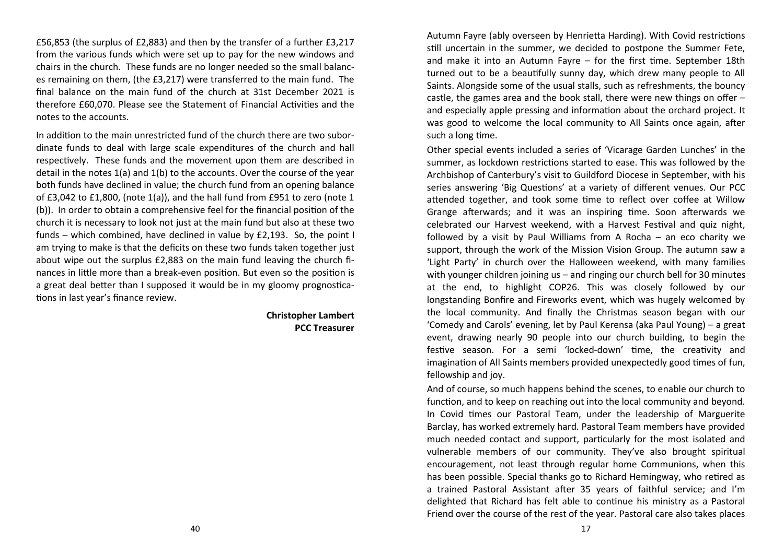£56,853 (the surplus of £2,883) and then by the transfer of a further £3,217 from the various funds which were set up to pay for the new windows and chairs in the church. These funds are no longer needed so the small balances remaining on them, (the £3,217) were transferred to the main fund. The final balance on the main fund of the church at 31st December 2021 is therefore £60,070. Please see the Statement of Financial Activities and the notes to the accounts.

In addition to the main unrestricted fund of the church there are two subordinate funds to deal with large scale expenditures of the church and hall respectively. These funds and the movement upon them are described in detail in the notes 1(a) and 1(b) to the accounts. Over the course of the year both funds have declined in value; the church fund from an opening balance of £3,042 to £1,800, (note 1(a)), and the hall fund from £951 to zero (note 1 (b)). In order to obtain a comprehensive feel for the financial position of the church it is necessary to look not just at the main fund but also at these two funds – which combined, have declined in value by £2,193. So, the point I am trying to make is that the deficits on these two funds taken together just about wipe out the surplus £2,883 on the main fund leaving the church finances in little more than a break-even position. But even so the position is a great deal better than I supposed it would be in my gloomy prognostications in last year's finance review.

> **Christopher Lambert PCC Treasurer**

Autumn Fayre (ably overseen by Henrietta Harding). With Covid restrictions still uncertain in the summer, we decided to postpone the Summer Fete, and make it into an Autumn Fayre – for the first time. September 18th turned out to be a beautifully sunny day, which drew many people to All Saints. Alongside some of the usual stalls, such as refreshments, the bouncy castle, the games area and the book stall, there were new things on offer – and especially apple pressing and information about the orchard project. It was good to welcome the local community to All Saints once again, after such a long time.

Other special events included a series of 'Vicarage Garden Lunches' in the summer, as lockdown restrictions started to ease. This was followed by the Archbishop of Canterbury's visit to Guildford Diocese in September, with his series answering 'Big Questions' at a variety of different venues. Our PCC attended together, and took some time to reflect over coffee at Willow Grange afterwards; and it was an inspiring time. Soon afterwards we celebrated our Harvest weekend, with a Harvest Festival and quiz night, followed by a visit by Paul Williams from A Rocha – an eco charity we support, through the work of the Mission Vision Group. The autumn saw a 'Light Party' in church over the Halloween weekend, with many families with younger children joining us – and ringing our church bell for 30 minutes at the end, to highlight COP26. This was closely followed by our longstanding Bonfire and Fireworks event, which was hugely welcomed by the local community. And finally the Christmas season began with our 'Comedy and Carols' evening, let by Paul Kerensa (aka Paul Young) – a great event, drawing nearly 90 people into our church building, to begin the festive season. For a semi 'locked-down' time, the creativity and imagination of All Saints members provided unexpectedly good times of fun, fellowship and joy.

And of course, so much happens behind the scenes, to enable our church to function, and to keep on reaching out into the local community and beyond. In Covid times our Pastoral Team, under the leadership of Marguerite Barclay, has worked extremely hard. Pastoral Team members have provided much needed contact and support, particularly for the most isolated and vulnerable members of our community. They've also brought spiritual encouragement, not least through regular home Communions, when this has been possible. Special thanks go to Richard Hemingway, who retired as a trained Pastoral Assistant after 35 years of faithful service; and I'm delighted that Richard has felt able to continue his ministry as a Pastoral Friend over the course of the rest of the year. Pastoral care also takes places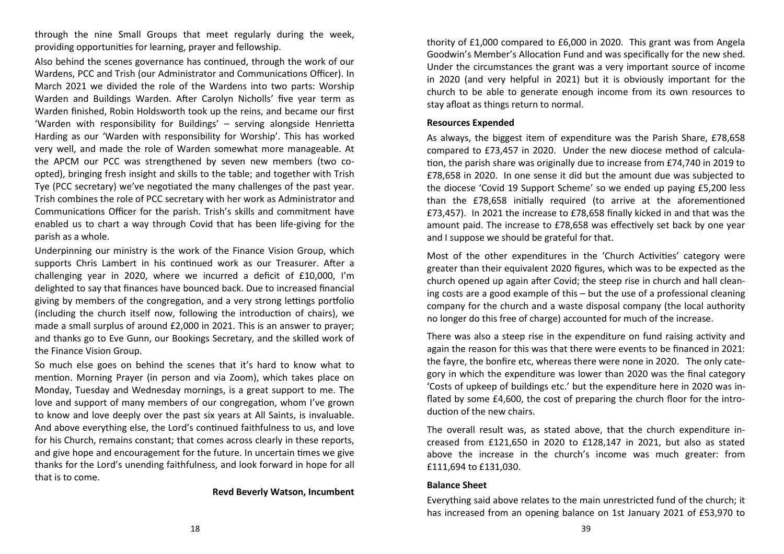through the nine Small Groups that meet regularly during the week, providing opportunities for learning, prayer and fellowship.

Also behind the scenes governance has continued, through the work of our Wardens, PCC and Trish (our Administrator and Communications Officer). In March 2021 we divided the role of the Wardens into two parts: Worship Warden and Buildings Warden. After Carolyn Nicholls' five year term as Warden finished, Robin Holdsworth took up the reins, and became our first 'Warden with responsibility for Buildings' – serving alongside Henrietta Harding as our 'Warden with responsibility for Worship'. This has worked very well, and made the role of Warden somewhat more manageable. At the APCM our PCC was strengthened by seven new members (two coopted), bringing fresh insight and skills to the table; and together with Trish Tye (PCC secretary) we've negotiated the many challenges of the past year. Trish combines the role of PCC secretary with her work as Administrator and Communications Officer for the parish. Trish's skills and commitment have enabled us to chart a way through Covid that has been life-giving for the parish as a whole.

Underpinning our ministry is the work of the Finance Vision Group, which supports Chris Lambert in his continued work as our Treasurer. After a challenging year in 2020, where we incurred a deficit of £10,000, I'm delighted to say that finances have bounced back. Due to increased financial giving by members of the congregation, and a very strong lettings portfolio (including the church itself now, following the introduction of chairs), we made a small surplus of around £2,000 in 2021. This is an answer to prayer; and thanks go to Eve Gunn, our Bookings Secretary, and the skilled work of the Finance Vision Group.

So much else goes on behind the scenes that it's hard to know what to mention. Morning Prayer (in person and via Zoom), which takes place on Monday, Tuesday and Wednesday mornings, is a great support to me. The love and support of many members of our congregation, whom I've grown to know and love deeply over the past six years at All Saints, is invaluable. And above everything else, the Lord's continued faithfulness to us, and love for his Church, remains constant; that comes across clearly in these reports, and give hope and encouragement for the future. In uncertain times we give thanks for the Lord's unending faithfulness, and look forward in hope for all that is to come.

### **Revd Beverly Watson, Incumbent**

thority of £1,000 compared to £6,000 in 2020. This grant was from Angela Goodwin's Member's Allocation Fund and was specifically for the new shed. Under the circumstances the grant was a very important source of income in 2020 (and very helpful in 2021) but it is obviously important for the church to be able to generate enough income from its own resources to stay afloat as things return to normal.

### **Resources Expended**

As always, the biggest item of expenditure was the Parish Share, £78,658 compared to £73,457 in 2020. Under the new diocese method of calculation, the parish share was originally due to increase from £74,740 in 2019 to £78,658 in 2020. In one sense it did but the amount due was subjected to the diocese 'Covid 19 Support Scheme' so we ended up paying £5,200 less than the £78,658 initially required (to arrive at the aforementioned £73,457). In 2021 the increase to £78,658 finally kicked in and that was the amount paid. The increase to £78,658 was effectively set back by one year and I suppose we should be grateful for that.

Most of the other expenditures in the 'Church Activities' category were greater than their equivalent 2020 figures, which was to be expected as the church opened up again after Covid; the steep rise in church and hall cleaning costs are a good example of this – but the use of a professional cleaning company for the church and a waste disposal company (the local authority no longer do this free of charge) accounted for much of the increase.

There was also a steep rise in the expenditure on fund raising activity and again the reason for this was that there were events to be financed in 2021: the fayre, the bonfire etc, whereas there were none in 2020. The only category in which the expenditure was lower than 2020 was the final category 'Costs of upkeep of buildings etc.' but the expenditure here in 2020 was inflated by some £4,600, the cost of preparing the church floor for the introduction of the new chairs.

The overall result was, as stated above, that the church expenditure increased from £121,650 in 2020 to £128,147 in 2021, but also as stated above the increase in the church's income was much greater: from £111,694 to £131,030.

### **Balance Sheet**

Everything said above relates to the main unrestricted fund of the church; it has increased from an opening balance on 1st January 2021 of £53,970 to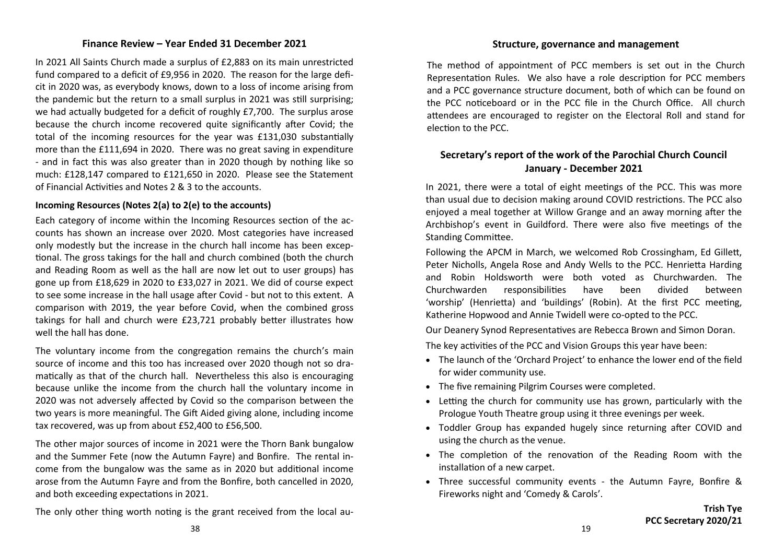### **Finance Review – Year Ended 31 December 2021**

In 2021 All Saints Church made a surplus of £2,883 on its main unrestricted fund compared to a deficit of £9,956 in 2020. The reason for the large deficit in 2020 was, as everybody knows, down to a loss of income arising from the pandemic but the return to a small surplus in 2021 was still surprising; we had actually budgeted for a deficit of roughly £7,700. The surplus arose because the church income recovered quite significantly after Covid; the total of the incoming resources for the year was £131,030 substantially more than the £111,694 in 2020. There was no great saving in expenditure - and in fact this was also greater than in 2020 though by nothing like so much: £128,147 compared to £121,650 in 2020. Please see the Statement of Financial Activities and Notes 2 & 3 to the accounts.

### **Incoming Resources (Notes 2(a) to 2(e) to the accounts)**

Each category of income within the Incoming Resources section of the accounts has shown an increase over 2020. Most categories have increased only modestly but the increase in the church hall income has been exceptional. The gross takings for the hall and church combined (both the church and Reading Room as well as the hall are now let out to user groups) has gone up from £18,629 in 2020 to £33,027 in 2021. We did of course expect to see some increase in the hall usage after Covid - but not to this extent. A comparison with 2019, the year before Covid, when the combined gross takings for hall and church were £23,721 probably better illustrates how well the hall has done.

The voluntary income from the congregation remains the church's main source of income and this too has increased over 2020 though not so dramatically as that of the church hall. Nevertheless this also is encouraging because unlike the income from the church hall the voluntary income in 2020 was not adversely affected by Covid so the comparison between the two years is more meaningful. The Gift Aided giving alone, including income tax recovered, was up from about £52,400 to £56,500.

The other major sources of income in 2021 were the Thorn Bank bungalow and the Summer Fete (now the Autumn Fayre) and Bonfire. The rental income from the bungalow was the same as in 2020 but additional income arose from the Autumn Fayre and from the Bonfire, both cancelled in 2020, and both exceeding expectations in 2021.

The only other thing worth noting is the grant received from the local au-

### **Structure, governance and management**

The method of appointment of PCC members is set out in the Church Representation Rules. We also have a role description for PCC members and a PCC governance structure document, both of which can be found on the PCC noticeboard or in the PCC file in the Church Office. All church attendees are encouraged to register on the Electoral Roll and stand for election to the PCC.

### **Secretary's report of the work of the Parochial Church Council January - December 2021**

In 2021, there were a total of eight meetings of the PCC. This was more than usual due to decision making around COVID restrictions. The PCC also enjoyed a meal together at Willow Grange and an away morning after the Archbishop's event in Guildford. There were also five meetings of the Standing Committee.

Following the APCM in March, we welcomed Rob Crossingham, Ed Gillett, Peter Nicholls, Angela Rose and Andy Wells to the PCC. Henrietta Harding and Robin Holdsworth were both voted as Churchwarden. The Churchwarden responsibilities have been divided between 'worship' (Henrietta) and 'buildings' (Robin). At the first PCC meeting, Katherine Hopwood and Annie Twidell were co-opted to the PCC.

Our Deanery Synod Representatives are Rebecca Brown and Simon Doran.

The key activities of the PCC and Vision Groups this year have been:

- The launch of the 'Orchard Project' to enhance the lower end of the field for wider community use.
- The five remaining Pilgrim Courses were completed.
- Letting the church for community use has grown, particularly with the Prologue Youth Theatre group using it three evenings per week.
- Toddler Group has expanded hugely since returning after COVID and using the church as the venue.
- The completion of the renovation of the Reading Room with the installation of a new carpet.
- Three successful community events the Autumn Fayre, Bonfire & Fireworks night and 'Comedy & Carols'.

### **Trish Tye PCC Secretary 2020/21**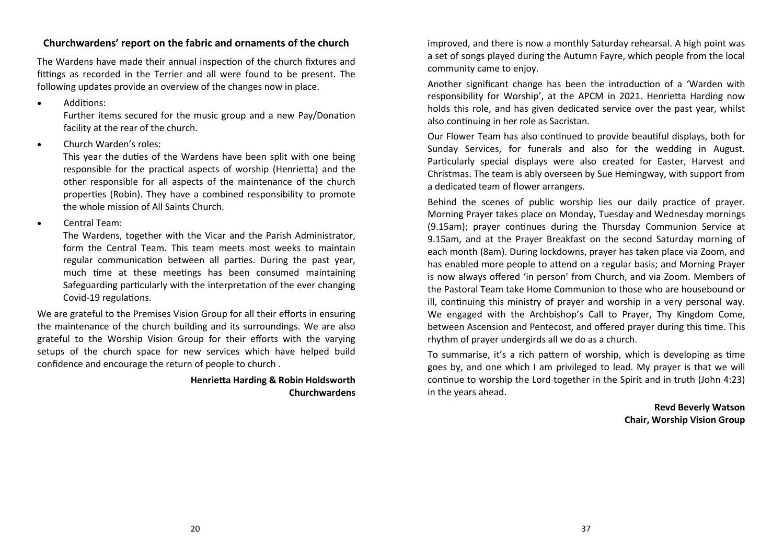### **Churchwardens' report on the fabric and ornaments of the church**

The Wardens have made their annual inspection of the church fixtures and fittings as recorded in the Terrier and all were found to be present. The following updates provide an overview of the changes now in place.

• Additions:

Further items secured for the music group and a new Pay/Donation facility at the rear of the church.

• Church Warden's roles:

This year the duties of the Wardens have been split with one being responsible for the practical aspects of worship (Henrietta) and the other responsible for all aspects of the maintenance of the church properties (Robin). They have a combined responsibility to promote the whole mission of All Saints Church.

• Central Team:

The Wardens, together with the Vicar and the Parish Administrator, form the Central Team. This team meets most weeks to maintain regular communication between all parties. During the past year, much time at these meetings has been consumed maintaining Safeguarding particularly with the interpretation of the ever changing Covid-19 regulations.

We are grateful to the Premises Vision Group for all their efforts in ensuring the maintenance of the church building and its surroundings. We are also grateful to the Worship Vision Group for their efforts with the varying setups of the church space for new services which have helped build confidence and encourage the return of people to church .

### **Henrietta Harding & Robin Holdsworth Churchwardens**

improved, and there is now a monthly Saturday rehearsal. A high point was a set of songs played during the Autumn Fayre, which people from the local community came to enjoy.

Another significant change has been the introduction of a 'Warden with responsibility for Worship', at the APCM in 2021. Henrietta Harding now holds this role, and has given dedicated service over the past year, whilst also continuing in her role as Sacristan.

Our Flower Team has also continued to provide beautiful displays, both for Sunday Services, for funerals and also for the wedding in August. Particularly special displays were also created for Easter, Harvest and Christmas. The team is ably overseen by Sue Hemingway, with support from a dedicated team of flower arrangers.

Behind the scenes of public worship lies our daily practice of prayer. Morning Prayer takes place on Monday, Tuesday and Wednesday mornings (9.15am); prayer continues during the Thursday Communion Service at 9.15am, and at the Prayer Breakfast on the second Saturday morning of each month (8am). During lockdowns, prayer has taken place via Zoom, and has enabled more people to attend on a regular basis; and Morning Prayer is now always offered 'in person' from Church, and via Zoom. Members of the Pastoral Team take Home Communion to those who are housebound or ill, continuing this ministry of prayer and worship in a very personal way. We engaged with the Archbishop's Call to Prayer, Thy Kingdom Come, between Ascension and Pentecost, and offered prayer during this time. This rhythm of prayer undergirds all we do as a church.

To summarise, it's a rich pattern of worship, which is developing as time goes by, and one which I am privileged to lead. My prayer is that we will continue to worship the Lord together in the Spirit and in truth (John 4:23) in the years ahead.

### **Revd Beverly Watson Chair, Worship Vision Group**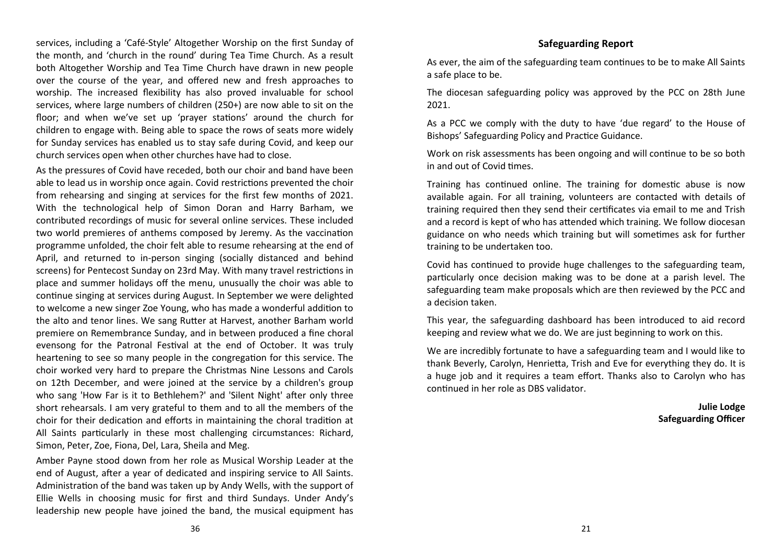services, including a 'Café-Style' Altogether Worship on the first Sunday of the month, and 'church in the round' during Tea Time Church. As a result both Altogether Worship and Tea Time Church have drawn in new people over the course of the year, and offered new and fresh approaches to worship. The increased flexibility has also proved invaluable for school services, where large numbers of children (250+) are now able to sit on the floor; and when we've set up 'prayer stations' around the church for children to engage with. Being able to space the rows of seats more widely for Sunday services has enabled us to stay safe during Covid, and keep our church services open when other churches have had to close.

As the pressures of Covid have receded, both our choir and band have been able to lead us in worship once again. Covid restrictions prevented the choir from rehearsing and singing at services for the first few months of 2021. With the technological help of Simon Doran and Harry Barham, we contributed recordings of music for several online services. These included two world premieres of anthems composed by Jeremy. As the vaccination programme unfolded, the choir felt able to resume rehearsing at the end of April, and returned to in-person singing (socially distanced and behind screens) for Pentecost Sunday on 23rd May. With many travel restrictions in place and summer holidays off the menu, unusually the choir was able to continue singing at services during August. In September we were delighted to welcome a new singer Zoe Young, who has made a wonderful addition to the alto and tenor lines. We sang Rutter at Harvest, another Barham world premiere on Remembrance Sunday, and in between produced a fine choral evensong for the Patronal Festival at the end of October. It was truly heartening to see so many people in the congregation for this service. The choir worked very hard to prepare the Christmas Nine Lessons and Carols on 12th December, and were joined at the service by a children's group who sang 'How Far is it to Bethlehem?' and 'Silent Night' after only three short rehearsals. I am very grateful to them and to all the members of the choir for their dedication and efforts in maintaining the choral tradition at All Saints particularly in these most challenging circumstances: Richard, Simon, Peter, Zoe, Fiona, Del, Lara, Sheila and Meg.

Amber Payne stood down from her role as Musical Worship Leader at the end of August, after a year of dedicated and inspiring service to All Saints. Administration of the band was taken up by Andy Wells, with the support of Ellie Wells in choosing music for first and third Sundays. Under Andy's leadership new people have joined the band, the musical equipment has

### **Safeguarding Report**

As ever, the aim of the safeguarding team continues to be to make All Saints a safe place to be.

The diocesan safeguarding policy was approved by the PCC on 28th June 2021.

As a PCC we comply with the duty to have 'due regard' to the House of Bishops' Safeguarding Policy and Practice Guidance.

Work on risk assessments has been ongoing and will continue to be so both in and out of Covid times.

Training has continued online. The training for domestic abuse is now available again. For all training, volunteers are contacted with details of training required then they send their certificates via email to me and Trish and a record is kept of who has attended which training. We follow diocesan guidance on who needs which training but will sometimes ask for further training to be undertaken too.

Covid has continued to provide huge challenges to the safeguarding team, particularly once decision making was to be done at a parish level. The safeguarding team make proposals which are then reviewed by the PCC and a decision taken.

This year, the safeguarding dashboard has been introduced to aid record keeping and review what we do. We are just beginning to work on this.

We are incredibly fortunate to have a safeguarding team and I would like to thank Beverly, Carolyn, Henrietta, Trish and Eve for everything they do. It is a huge job and it requires a team effort. Thanks also to Carolyn who has continued in her role as DBS validator.

> **Julie Lodge Safeguarding Officer**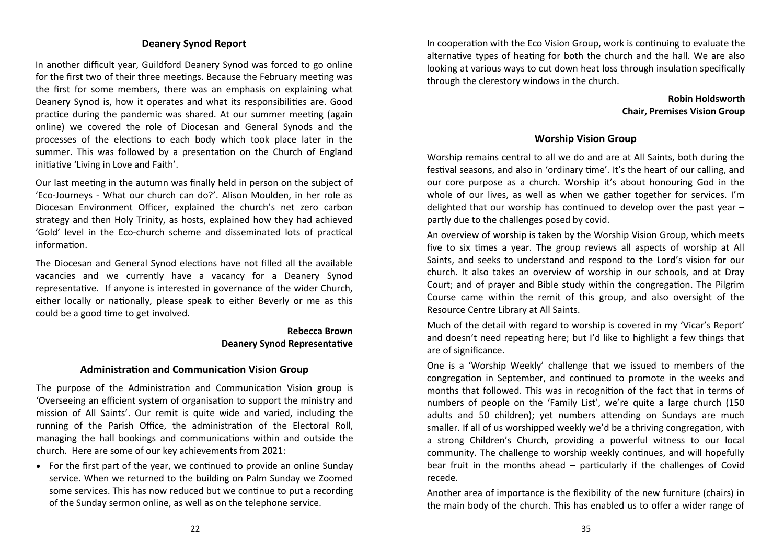### **Deanery Synod Report**

In another difficult year, Guildford Deanery Synod was forced to go online for the first two of their three meetings. Because the February meeting was the first for some members, there was an emphasis on explaining what Deanery Synod is, how it operates and what its responsibilities are. Good practice during the pandemic was shared. At our summer meeting (again online) we covered the role of Diocesan and General Synods and the processes of the elections to each body which took place later in the summer. This was followed by a presentation on the Church of England initiative 'Living in Love and Faith'.

Our last meeting in the autumn was finally held in person on the subject of 'Eco-Journeys - What our church can do?'. Alison Moulden, in her role as Diocesan Environment Officer, explained the church's net zero carbon strategy and then Holy Trinity, as hosts, explained how they had achieved 'Gold' level in the Eco-church scheme and disseminated lots of practical information.

The Diocesan and General Synod elections have not filled all the available vacancies and we currently have a vacancy for a Deanery Synod representative. If anyone is interested in governance of the wider Church, either locally or nationally, please speak to either Beverly or me as this could be a good time to get involved.

### **Rebecca Brown Deanery Synod Representative**

### **Administration and Communication Vision Group**

The purpose of the Administration and Communication Vision group is 'Overseeing an efficient system of organisation to support the ministry and mission of All Saints'. Our remit is quite wide and varied, including the running of the Parish Office, the administration of the Electoral Roll, managing the hall bookings and communications within and outside the church. Here are some of our key achievements from 2021:

• For the first part of the year, we continued to provide an online Sunday service. When we returned to the building on Palm Sunday we Zoomed some services. This has now reduced but we continue to put a recording of the Sunday sermon online, as well as on the telephone service.

In cooperation with the Eco Vision Group, work is continuing to evaluate the alternative types of heating for both the church and the hall. We are also looking at various ways to cut down heat loss through insulation specifically through the clerestory windows in the church.

### **Robin Holdsworth Chair, Premises Vision Group**

### **Worship Vision Group**

Worship remains central to all we do and are at All Saints, both during the festival seasons, and also in 'ordinary time'. It's the heart of our calling, and our core purpose as a church. Worship it's about honouring God in the whole of our lives, as well as when we gather together for services. I'm delighted that our worship has continued to develop over the past year – partly due to the challenges posed by covid.

An overview of worship is taken by the Worship Vision Group, which meets five to six times a year. The group reviews all aspects of worship at All Saints, and seeks to understand and respond to the Lord's vision for our church. It also takes an overview of worship in our schools, and at Dray Court; and of prayer and Bible study within the congregation. The Pilgrim Course came within the remit of this group, and also oversight of the Resource Centre Library at All Saints.

Much of the detail with regard to worship is covered in my 'Vicar's Report' and doesn't need repeating here; but I'd like to highlight a few things that are of significance.

One is a 'Worship Weekly' challenge that we issued to members of the congregation in September, and continued to promote in the weeks and months that followed. This was in recognition of the fact that in terms of numbers of people on the 'Family List', we're quite a large church (150 adults and 50 children); yet numbers attending on Sundays are much smaller. If all of us worshipped weekly we'd be a thriving congregation, with a strong Children's Church, providing a powerful witness to our local community. The challenge to worship weekly continues, and will hopefully bear fruit in the months ahead – particularly if the challenges of Covid recede.

Another area of importance is the flexibility of the new furniture (chairs) in the main body of the church. This has enabled us to offer a wider range of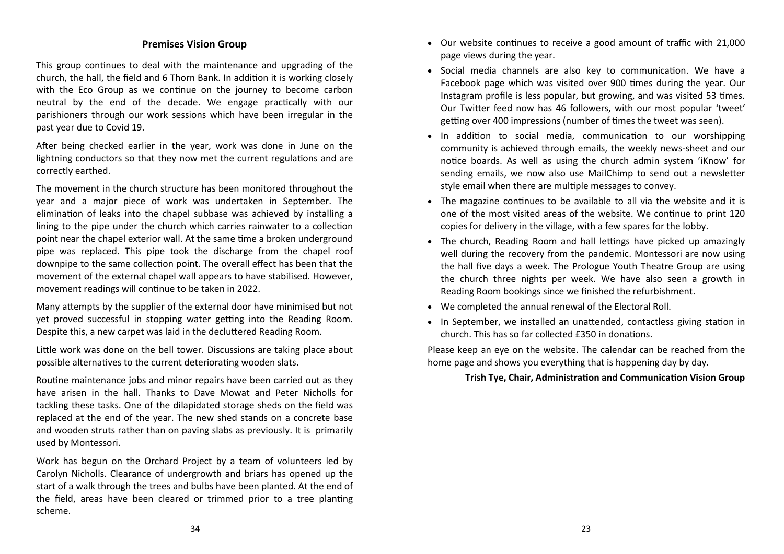### **Premises Vision Group**

This group continues to deal with the maintenance and upgrading of the church, the hall, the field and 6 Thorn Bank. In addition it is working closely with the Eco Group as we continue on the journey to become carbon neutral by the end of the decade. We engage practically with our parishioners through our work sessions which have been irregular in the past year due to Covid 19.

After being checked earlier in the year, work was done in June on the lightning conductors so that they now met the current regulations and are correctly earthed.

The movement in the church structure has been monitored throughout the year and a major piece of work was undertaken in September. The elimination of leaks into the chapel subbase was achieved by installing a lining to the pipe under the church which carries rainwater to a collection point near the chapel exterior wall. At the same time a broken underground pipe was replaced. This pipe took the discharge from the chapel roof downpipe to the same collection point. The overall effect has been that the movement of the external chapel wall appears to have stabilised. However, movement readings will continue to be taken in 2022.

Many attempts by the supplier of the external door have minimised but not yet proved successful in stopping water getting into the Reading Room. Despite this, a new carpet was laid in the decluttered Reading Room.

Little work was done on the bell tower. Discussions are taking place about possible alternatives to the current deteriorating wooden slats.

Routine maintenance jobs and minor repairs have been carried out as they have arisen in the hall. Thanks to Dave Mowat and Peter Nicholls for tackling these tasks. One of the dilapidated storage sheds on the field was replaced at the end of the year. The new shed stands on a concrete base and wooden struts rather than on paving slabs as previously. It is primarily used by Montessori.

Work has begun on the Orchard Project by a team of volunteers led by Carolyn Nicholls. Clearance of undergrowth and briars has opened up the start of a walk through the trees and bulbs have been planted. At the end of the field, areas have been cleared or trimmed prior to a tree planting scheme.

- Our website continues to receive a good amount of traffic with 21,000 page views during the year.
- Social media channels are also key to communication. We have a Facebook page which was visited over 900 times during the year. Our Instagram profile is less popular, but growing, and was visited 53 times. Our Twitter feed now has 46 followers, with our most popular 'tweet' getting over 400 impressions (number of times the tweet was seen).
- In addition to social media, communication to our worshipping community is achieved through emails, the weekly news-sheet and our notice boards. As well as using the church admin system 'iKnow' for sending emails, we now also use MailChimp to send out a newsletter style email when there are multiple messages to convey.
- The magazine continues to be available to all via the website and it is one of the most visited areas of the website. We continue to print 120 copies for delivery in the village, with a few spares for the lobby.
- The church, Reading Room and hall lettings have picked up amazingly well during the recovery from the pandemic. Montessori are now using the hall five days a week. The Prologue Youth Theatre Group are using the church three nights per week. We have also seen a growth in Reading Room bookings since we finished the refurbishment.
- We completed the annual renewal of the Electoral Roll.
- In September, we installed an unattended, contactless giving station in church. This has so far collected £350 in donations.

Please keep an eye on the website. The calendar can be reached from the home page and shows you everything that is happening day by day.

### **Trish Tye, Chair, Administration and Communication Vision Group**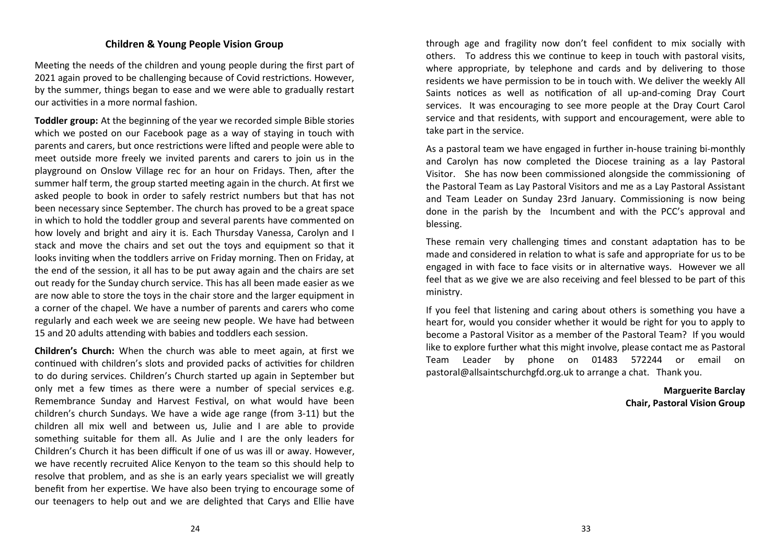### **Children & Young People Vision Group**

Meeting the needs of the children and young people during the first part of 2021 again proved to be challenging because of Covid restrictions. However, by the summer, things began to ease and we were able to gradually restart our activities in a more normal fashion.

**Toddler group:** At the beginning of the year we recorded simple Bible stories which we posted on our Facebook page as a way of staying in touch with parents and carers, but once restrictions were lifted and people were able to meet outside more freely we invited parents and carers to join us in the playground on Onslow Village rec for an hour on Fridays. Then, after the summer half term, the group started meeting again in the church. At first we asked people to book in order to safely restrict numbers but that has not been necessary since September. The church has proved to be a great space in which to hold the toddler group and several parents have commented on how lovely and bright and airy it is. Each Thursday Vanessa, Carolyn and I stack and move the chairs and set out the toys and equipment so that it looks inviting when the toddlers arrive on Friday morning. Then on Friday, at the end of the session, it all has to be put away again and the chairs are set out ready for the Sunday church service. This has all been made easier as we are now able to store the toys in the chair store and the larger equipment in a corner of the chapel. We have a number of parents and carers who come regularly and each week we are seeing new people. We have had between 15 and 20 adults attending with babies and toddlers each session.

**Children's Church:** When the church was able to meet again, at first we continued with children's slots and provided packs of activities for children to do during services. Children's Church started up again in September but only met a few times as there were a number of special services e.g. Remembrance Sunday and Harvest Festival, on what would have been children's church Sundays. We have a wide age range (from 3-11) but the children all mix well and between us, Julie and I are able to provide something suitable for them all. As Julie and I are the only leaders for Children's Church it has been difficult if one of us was ill or away. However, we have recently recruited Alice Kenyon to the team so this should help to resolve that problem, and as she is an early years specialist we will greatly benefit from her expertise. We have also been trying to encourage some of our teenagers to help out and we are delighted that Carys and Ellie have

through age and fragility now don't feel confident to mix socially with others. To address this we continue to keep in touch with pastoral visits, where appropriate, by telephone and cards and by delivering to those residents we have permission to be in touch with. We deliver the weekly All Saints notices as well as notification of all up-and-coming Dray Court services. It was encouraging to see more people at the Dray Court Carol service and that residents, with support and encouragement, were able to take part in the service.

As a pastoral team we have engaged in further in-house training bi-monthly and Carolyn has now completed the Diocese training as a lay Pastoral Visitor. She has now been commissioned alongside the commissioning of the Pastoral Team as Lay Pastoral Visitors and me as a Lay Pastoral Assistant and Team Leader on Sunday 23rd January. Commissioning is now being done in the parish by the Incumbent and with the PCC's approval and blessing.

These remain very challenging times and constant adaptation has to be made and considered in relation to what is safe and appropriate for us to be engaged in with face to face visits or in alternative ways. However we all feel that as we give we are also receiving and feel blessed to be part of this ministry.

If you feel that listening and caring about others is something you have a heart for, would you consider whether it would be right for you to apply to become a Pastoral Visitor as a member of the Pastoral Team? If you would like to explore further what this might involve, please contact me as Pastoral Team Leader by phone on 01483 572244 or email on pastoral@allsaintschurchgfd.org.uk to arrange a chat. Thank you.

> **Marguerite Barclay Chair, Pastoral Vision Group**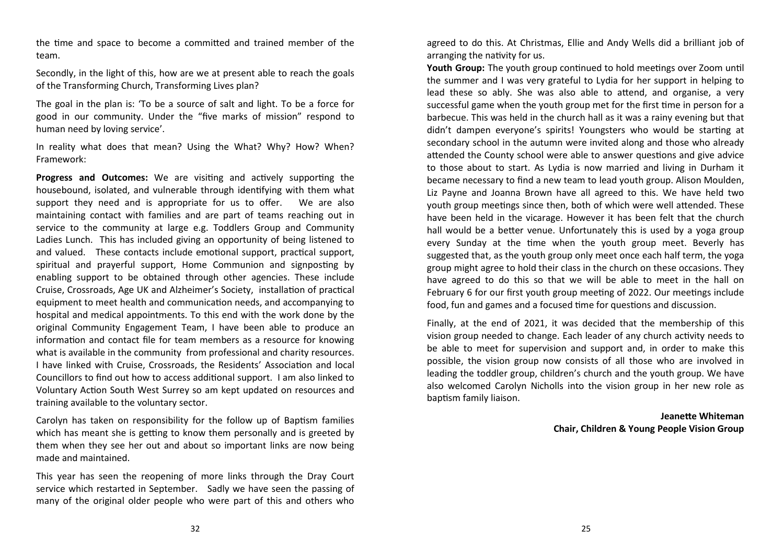the time and space to become a committed and trained member of the team.

Secondly, in the light of this, how are we at present able to reach the goals of the Transforming Church, Transforming Lives plan?

The goal in the plan is: 'To be a source of salt and light. To be a force for good in our community. Under the "five marks of mission" respond to human need by loving service'.

In reality what does that mean? Using the What? Why? How? When? Framework:

**Progress and Outcomes:** We are visiting and actively supporting the housebound, isolated, and vulnerable through identifying with them what support they need and is appropriate for us to offer. We are also maintaining contact with families and are part of teams reaching out in service to the community at large e.g. Toddlers Group and Community Ladies Lunch. This has included giving an opportunity of being listened to and valued. These contacts include emotional support, practical support, spiritual and prayerful support, Home Communion and signposting by enabling support to be obtained through other agencies. These include Cruise, Crossroads, Age UK and Alzheimer's Society, installation of practical equipment to meet health and communication needs, and accompanying to hospital and medical appointments. To this end with the work done by the original Community Engagement Team, I have been able to produce an information and contact file for team members as a resource for knowing what is available in the community from professional and charity resources. I have linked with Cruise, Crossroads, the Residents' Association and local Councillors to find out how to access additional support. I am also linked to Voluntary Action South West Surrey so am kept updated on resources and training available to the voluntary sector.

Carolyn has taken on responsibility for the follow up of Baptism families which has meant she is getting to know them personally and is greeted by them when they see her out and about so important links are now being made and maintained.

This year has seen the reopening of more links through the Dray Court service which restarted in September. Sadly we have seen the passing of many of the original older people who were part of this and others who

agreed to do this. At Christmas, Ellie and Andy Wells did a brilliant job of arranging the nativity for us.

**Youth Group:** The youth group continued to hold meetings over Zoom until the summer and I was very grateful to Lydia for her support in helping to lead these so ably. She was also able to attend, and organise, a very successful game when the youth group met for the first time in person for a barbecue. This was held in the church hall as it was a rainy evening but that didn't dampen everyone's spirits! Youngsters who would be starting at secondary school in the autumn were invited along and those who already attended the County school were able to answer questions and give advice to those about to start. As Lydia is now married and living in Durham it became necessary to find a new team to lead youth group. Alison Moulden, Liz Payne and Joanna Brown have all agreed to this. We have held two youth group meetings since then, both of which were well attended. These have been held in the vicarage. However it has been felt that the church hall would be a better venue. Unfortunately this is used by a yoga group every Sunday at the time when the youth group meet. Beverly has suggested that, as the youth group only meet once each half term, the yoga group might agree to hold their class in the church on these occasions. They have agreed to do this so that we will be able to meet in the hall on February 6 for our first youth group meeting of 2022. Our meetings include food, fun and games and a focused time for questions and discussion.

Finally, at the end of 2021, it was decided that the membership of this vision group needed to change. Each leader of any church activity needs to be able to meet for supervision and support and, in order to make this possible, the vision group now consists of all those who are involved in leading the toddler group, children's church and the youth group. We have also welcomed Carolyn Nicholls into the vision group in her new role as baptism family liaison.

> **Jeanette Whiteman Chair, Children & Young People Vision Group**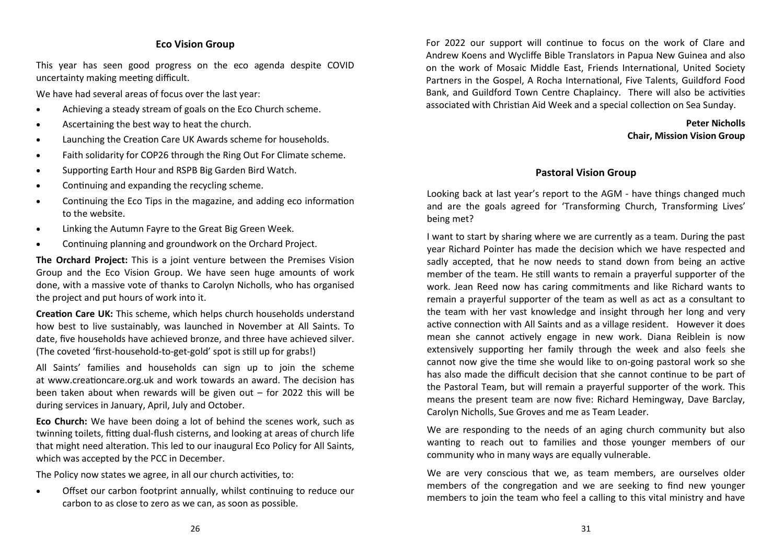### **Eco Vision Group**

This year has seen good progress on the eco agenda despite COVID uncertainty making meeting difficult.

We have had several areas of focus over the last year:

- Achieving a steady stream of goals on the Eco Church scheme.
- Ascertaining the best way to heat the church.
- Launching the Creation Care UK Awards scheme for households.
- Faith solidarity for COP26 through the Ring Out For Climate scheme.
- Supporting Earth Hour and RSPB Big Garden Bird Watch.
- Continuing and expanding the recycling scheme.
- Continuing the Eco Tips in the magazine, and adding eco information to the website.
- Linking the Autumn Fayre to the Great Big Green Week.
- Continuing planning and groundwork on the Orchard Project.

**The Orchard Project:** This is a joint venture between the Premises Vision Group and the Eco Vision Group. We have seen huge amounts of work done, with a massive vote of thanks to Carolyn Nicholls, who has organised the project and put hours of work into it.

**Creation Care UK:** This scheme, which helps church households understand how best to live sustainably, was launched in November at All Saints. To date, five households have achieved bronze, and three have achieved silver. (The coveted 'first-household-to-get-gold' spot is still up for grabs!)

All Saints' families and households can sign up to join the scheme at www.creationcare.org.uk and work towards an award. The decision has been taken about when rewards will be given out – for 2022 this will be during services in January, April, July and October.

**Eco Church:** We have been doing a lot of behind the scenes work, such as twinning toilets, fitting dual-flush cisterns, and looking at areas of church life that might need alteration. This led to our inaugural Eco Policy for All Saints, which was accepted by the PCC in December.

The Policy now states we agree, in all our church activities, to:

• Offset our carbon footprint annually, whilst continuing to reduce our carbon to as close to zero as we can, as soon as possible.

For 2022 our support will continue to focus on the work of Clare and Andrew Koens and Wycliffe Bible Translators in Papua New Guinea and also on the work of Mosaic Middle East, Friends International, United Society Partners in the Gospel, A Rocha International, Five Talents, Guildford Food Bank, and Guildford Town Centre Chaplaincy. There will also be activities associated with Christian Aid Week and a special collection on Sea Sunday.

### **Peter Nicholls Chair, Mission Vision Group**

### **Pastoral Vision Group**

Looking back at last year's report to the AGM - have things changed much and are the goals agreed for 'Transforming Church, Transforming Lives' being met?

I want to start by sharing where we are currently as a team. During the past year Richard Pointer has made the decision which we have respected and sadly accepted, that he now needs to stand down from being an active member of the team. He still wants to remain a prayerful supporter of the work. Jean Reed now has caring commitments and like Richard wants to remain a prayerful supporter of the team as well as act as a consultant to the team with her vast knowledge and insight through her long and very active connection with All Saints and as a village resident. However it does mean she cannot actively engage in new work. Diana Reiblein is now extensively supporting her family through the week and also feels she cannot now give the time she would like to on-going pastoral work so she has also made the difficult decision that she cannot continue to be part of the Pastoral Team, but will remain a prayerful supporter of the work. This means the present team are now five: Richard Hemingway, Dave Barclay, Carolyn Nicholls, Sue Groves and me as Team Leader.

We are responding to the needs of an aging church community but also wanting to reach out to families and those younger members of our community who in many ways are equally vulnerable.

We are very conscious that we, as team members, are ourselves older members of the congregation and we are seeking to find new younger members to join the team who feel a calling to this vital ministry and have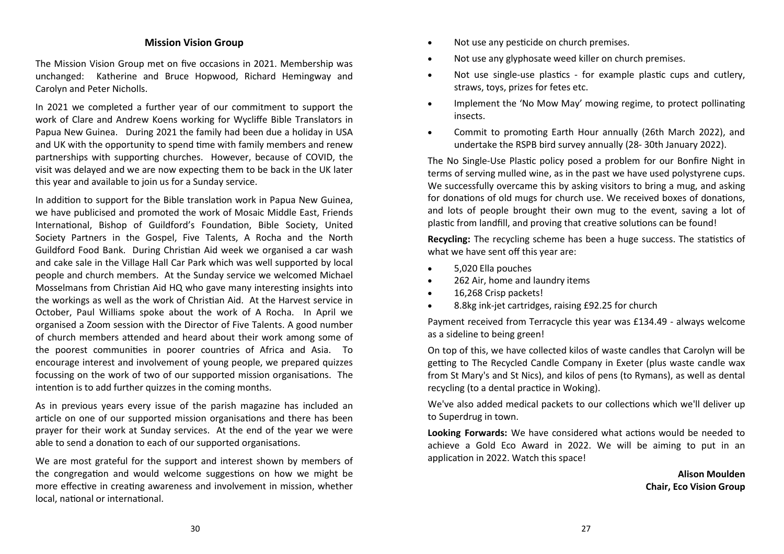### **Mission Vision Group**

The Mission Vision Group met on five occasions in 2021. Membership was unchanged: Katherine and Bruce Hopwood, Richard Hemingway and Carolyn and Peter Nicholls.

In 2021 we completed a further year of our commitment to support the work of Clare and Andrew Koens working for Wycliffe Bible Translators in Papua New Guinea. During 2021 the family had been due a holiday in USA and UK with the opportunity to spend time with family members and renew partnerships with supporting churches. However, because of COVID, the visit was delayed and we are now expecting them to be back in the UK later this year and available to join us for a Sunday service.

In addition to support for the Bible translation work in Papua New Guinea, we have publicised and promoted the work of Mosaic Middle East, Friends International, Bishop of Guildford's Foundation, Bible Society, United Society Partners in the Gospel, Five Talents, A Rocha and the North Guildford Food Bank. During Christian Aid week we organised a car wash and cake sale in the Village Hall Car Park which was well supported by local people and church members. At the Sunday service we welcomed Michael Mosselmans from Christian Aid HQ who gave many interesting insights into the workings as well as the work of Christian Aid. At the Harvest service in October, Paul Williams spoke about the work of A Rocha. In April we organised a Zoom session with the Director of Five Talents. A good number of church members attended and heard about their work among some of the poorest communities in poorer countries of Africa and Asia. To encourage interest and involvement of young people, we prepared quizzes focussing on the work of two of our supported mission organisations. The intention is to add further quizzes in the coming months.

As in previous years every issue of the parish magazine has included an article on one of our supported mission organisations and there has been prayer for their work at Sunday services. At the end of the year we were able to send a donation to each of our supported organisations.

We are most grateful for the support and interest shown by members of the congregation and would welcome suggestions on how we might be more effective in creating awareness and involvement in mission, whether local, national or international.

- Not use any pesticide on church premises.
- Not use any glyphosate weed killer on church premises.
- Not use single-use plastics for example plastic cups and cutlery, straws, toys, prizes for fetes etc.
- Implement the 'No Mow May' mowing regime, to protect pollinating insects.
- Commit to promoting Earth Hour annually (26th March 2022), and undertake the RSPB bird survey annually (28- 30th January 2022).

The No Single-Use Plastic policy posed a problem for our Bonfire Night in terms of serving mulled wine, as in the past we have used polystyrene cups. We successfully overcame this by asking visitors to bring a mug, and asking for donations of old mugs for church use. We received boxes of donations, and lots of people brought their own mug to the event, saving a lot of plastic from landfill, and proving that creative solutions can be found!

**Recycling:** The recycling scheme has been a huge success. The statistics of what we have sent off this year are:

- 5,020 Ella pouches
- 262 Air, home and laundry items
- 16,268 Crisp packets!
- 8.8kg ink-jet cartridges, raising £92.25 for church

Payment received from Terracycle this year was £134.49 - always welcome as a sideline to being green!

On top of this, we have collected kilos of waste candles that Carolyn will be getting to The Recycled Candle Company in Exeter (plus waste candle wax from St Mary's and St Nics), and kilos of pens (to Rymans), as well as dental recycling (to a dental practice in Woking).

We've also added medical packets to our collections which we'll deliver up to Superdrug in town.

**Looking Forwards:** We have considered what actions would be needed to achieve a Gold Eco Award in 2022. We will be aiming to put in an application in 2022. Watch this space!

> **Alison Moulden Chair, Eco Vision Group**